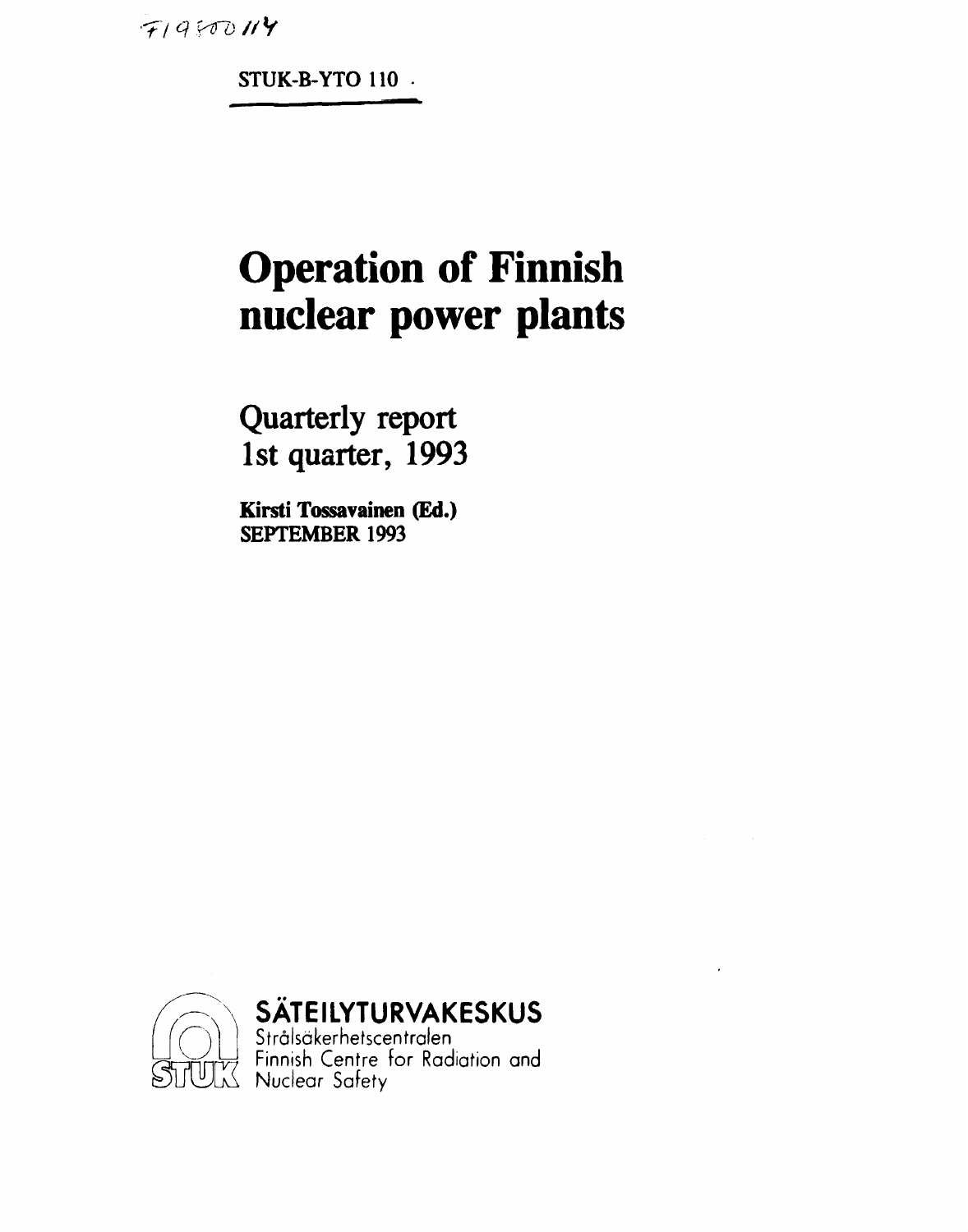$719800114$ 

**STUK-B-YTO 110** 

# **Operation of Finnish nuclear power plants**

**Quarterly report 1st quarter, 1993** 

**Kirsti Tossavainen (Ed.) SEPTEMBER 1993** 



**SÄTEILYTURVAKESKUS** 

Strälsäkerhetscentralen  $\overleftrightarrow{C}$  Finnish Centre for Radiation and ÖIMJIA X Nuclear Safety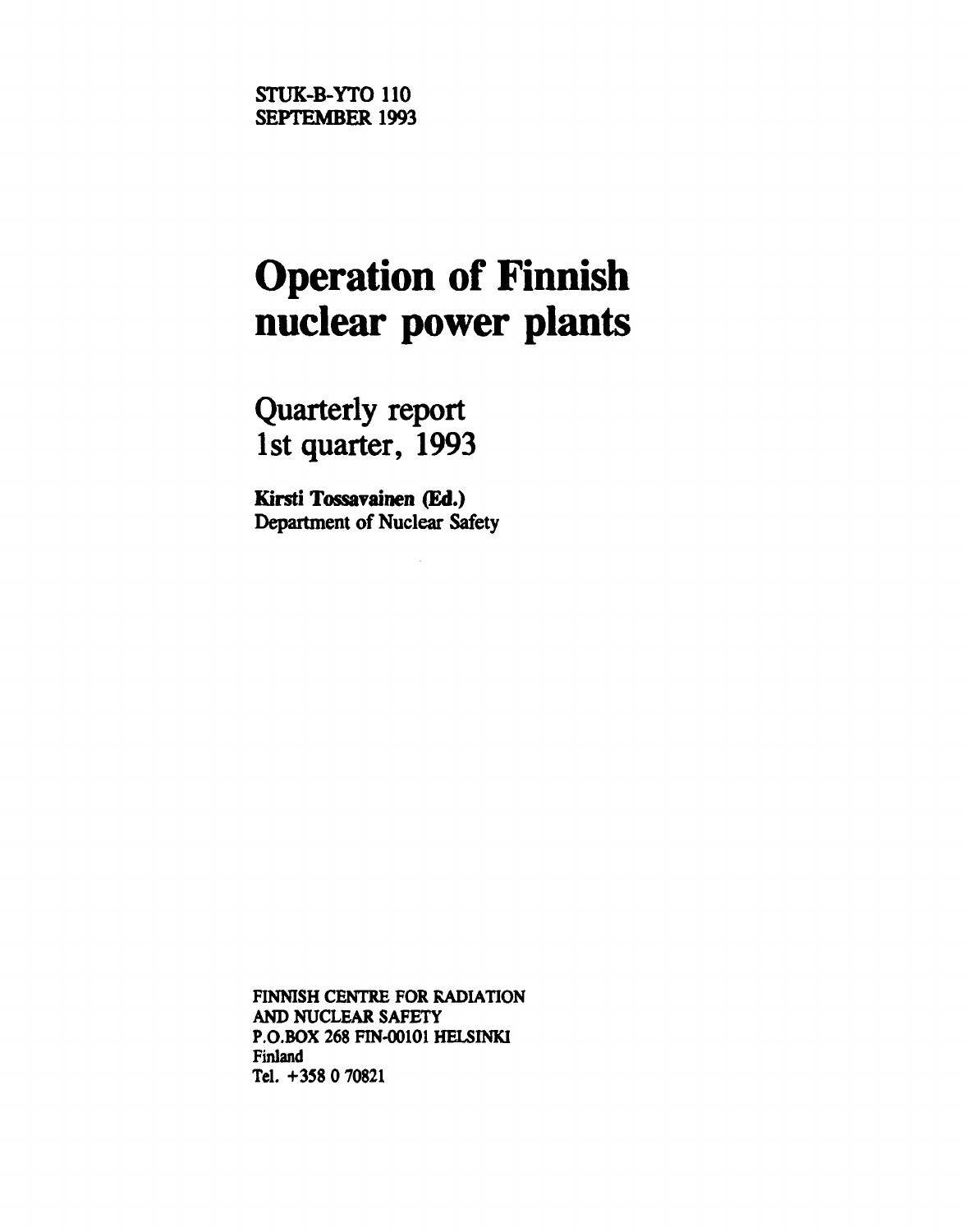**STUK-B-YTO 110 SEPTEMBER 1993** 

# **Operation of Finnish nuclear power plants**

**Quarterly report 1st quarter, 1993** 

**Kirsti Tossavainen (Ed.) Department of Nuclear Safety** 

**FINNISH CENTRE FOR RADIATION AND NUCLEAR SAFETY P.O.BOX 268 FIN-00101 HELSINKI Finland Tel. +358 0 70821**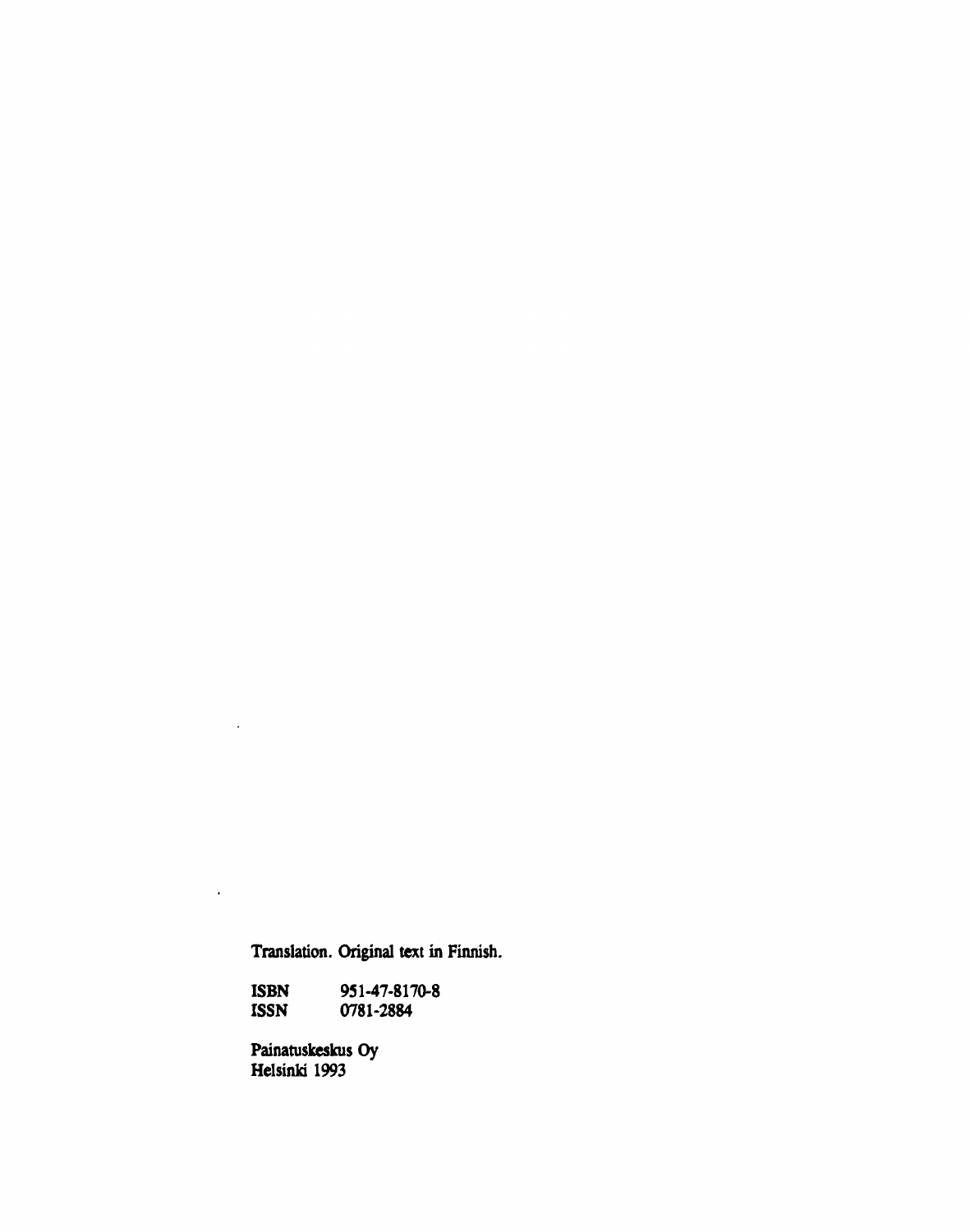**Translation. Original text in Finnish.** 

**ISBN 951-47-8170-8 ISSN 0781-2884** 

**Painatuskeskus Oy Helsinki 1993** 

 $\overline{\phantom{a}}$ 

 $\mathcal{L}^{(1)}$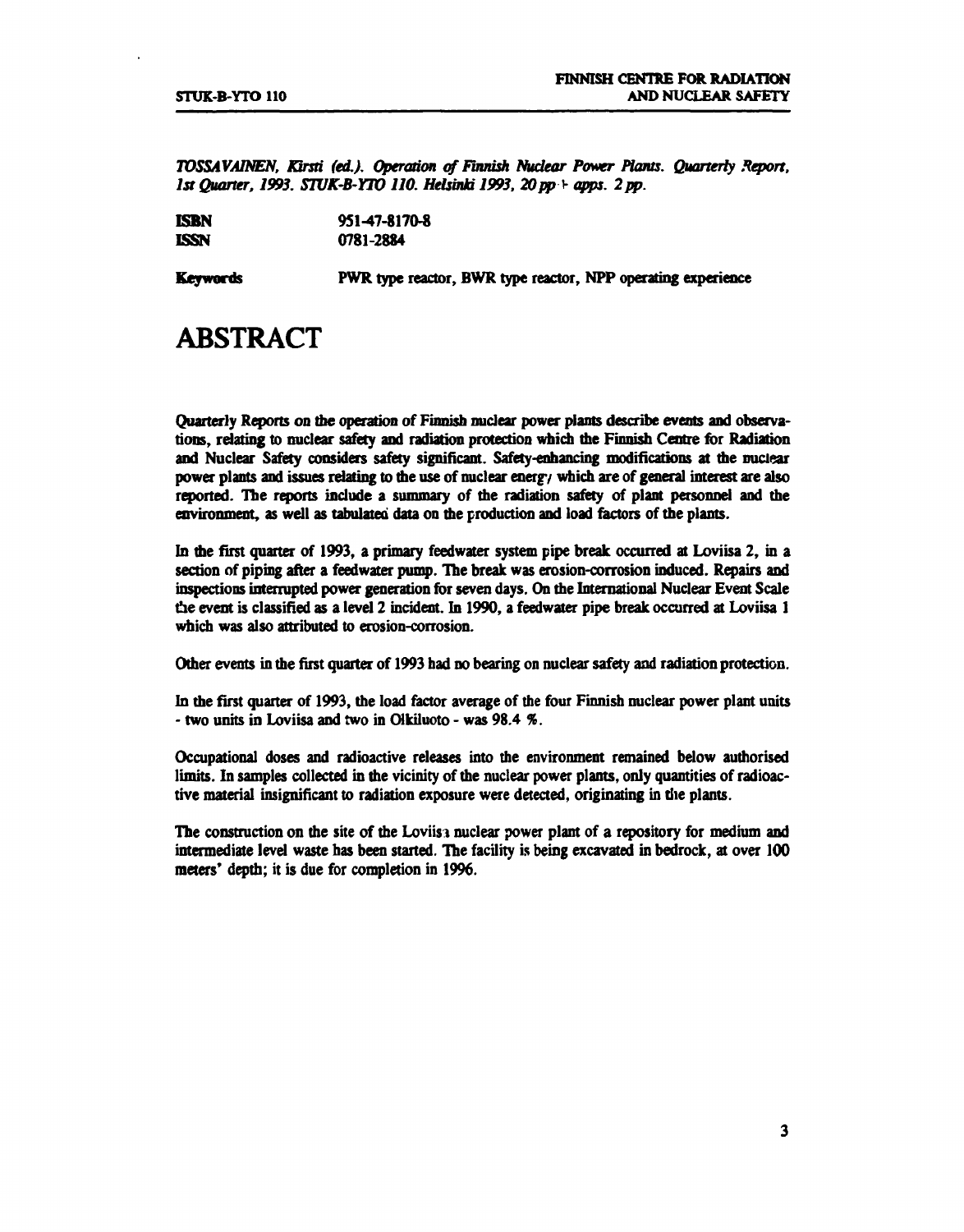*TOSSAVAINEN, Kirsti fed.). Operation of Finnish Nudear Power Plants. Quarterly Report,*  1st Quarter, 1993. STUK-B-YTO 110. Helsinki 1993, 20 pp + apps. 2 pp.

**ISBN** 951-47-8170-8<br> **ISSN** 0781-2884 **ISSN** 0781-2884

**Keywords** PWR type reactor, BWR type reactor, NPP operating experience

# **ABSTRACT**

Quarterly Reports on the operation of Finnish nuclear power plants describe events and observations, relating to nuclear safety and radiation protection which the Finnish Centre for Radiation and Nuclear Safety considers safety significant. Safety-enhancing modifications at die nuclear power plants and issues relating to die use of nuclear energy which are of general interest are also reported. The reports include a summary of die radiation safety of plant personnel and die environment, as well as tabulated data on die production and load factors of die plants.

In the first quarter of 1993, a primary feedwater system pipe break occurred at Loviisa 2, in a section of piping after a feedwater pump. The break was erosion-corrosion induced. Repairs and inspections interrupted power generation for seven days. On die International Nuclear Event Scale the event is classified as a level 2 incident. In 1990, a feedwater pipe break occurred at Loviisa 1 which was also attributed to erosion-corrosion.

Odier events in die first quarter of 1993 had no bearing on nuclear safety and radiation protection.

In die first quarter of 1993, die load factor average of die four Finnish nuclear power plant units - two units in Loviisa and two in Olkiluoto - was 98.4 *%.* 

Occupational doses and radioactive releases into die environment remained below audiorised limits. In samples collected in the vicinity of the nuclear power plants, only quantities of radioactive material insignificant to radiation exposure were detected, originating in die plants.

The construction on die site of die Loviisi nuclear power plant of a repository for medium and intermediate level waste has been started. The facility is being excavated in bedrock, at over 100 meters' depth; it is due for completion in 1996.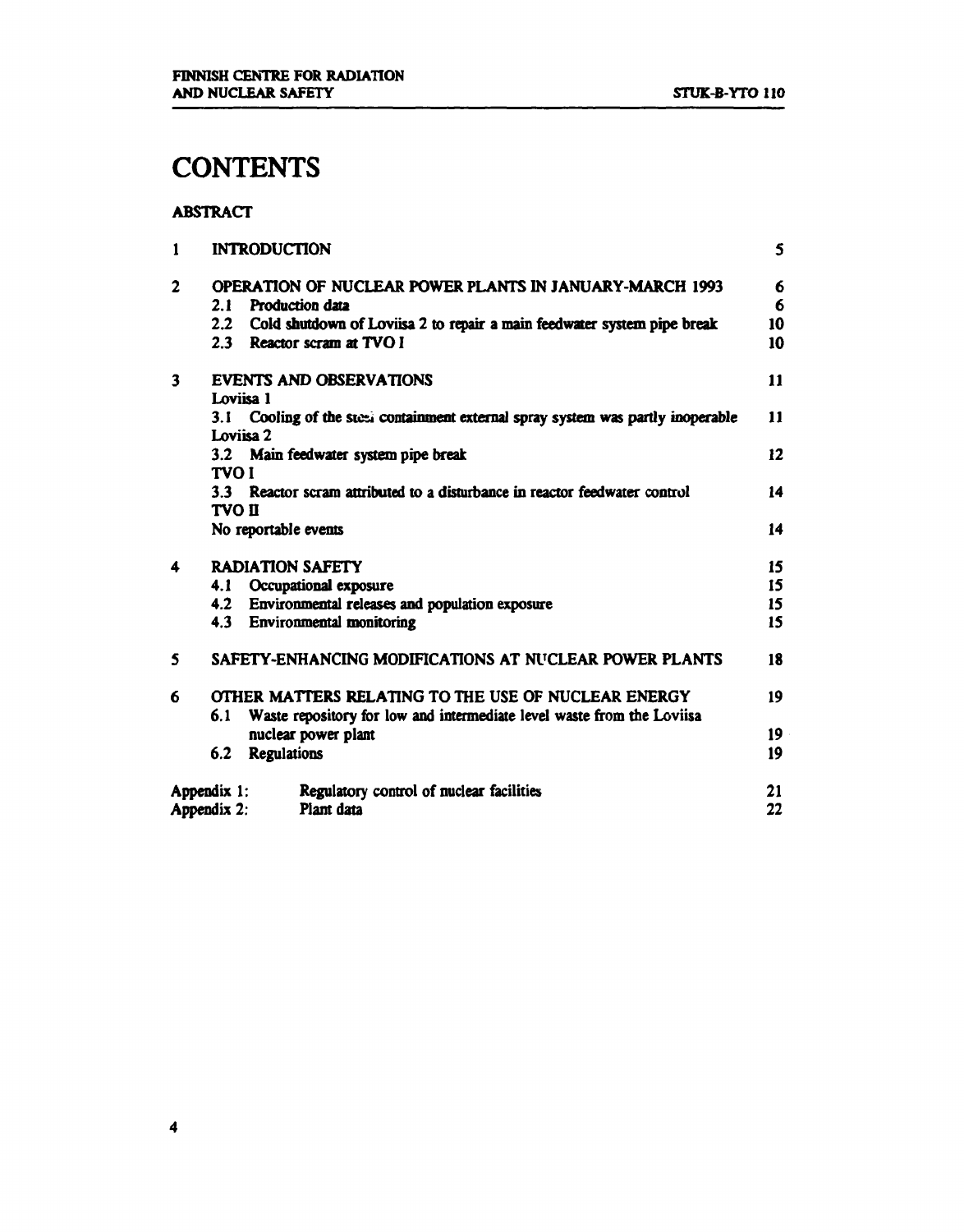# **CONTENTS**

#### **ABSTRACT**

| 1            | <b>INTRODUCTION</b>                                                                                          | 5        |  |  |  |  |  |
|--------------|--------------------------------------------------------------------------------------------------------------|----------|--|--|--|--|--|
| $\mathbf{2}$ | OPERATION OF NUCLEAR POWER PLANTS IN JANUARY-MARCH 1993<br><b>Production data</b><br>2.1                     |          |  |  |  |  |  |
|              | Cold shutdown of Loviisa 2 to repair a main feedwater system pipe break<br>2.2<br>2.3 Reactor scram at TVO I | 10<br>10 |  |  |  |  |  |
| 3            | <b>EVENTS AND OBSERVATIONS</b>                                                                               | 11       |  |  |  |  |  |
|              | Loviisa 1                                                                                                    |          |  |  |  |  |  |
|              | 3.1 Cooling of the steel containment external spray system was partly inoperable<br>Loviisa 2                | 11       |  |  |  |  |  |
|              | 3.2 Main feedwater system pipe break                                                                         |          |  |  |  |  |  |
|              | <b>TVO I</b>                                                                                                 |          |  |  |  |  |  |
|              | 3.3 Reactor scram attributed to a disturbance in reactor feedwater control                                   | 14       |  |  |  |  |  |
|              | <b>TVO II</b>                                                                                                |          |  |  |  |  |  |
|              | No reportable events                                                                                         | 14       |  |  |  |  |  |
| 4            | <b>RADIATION SAFETY</b>                                                                                      | 15       |  |  |  |  |  |
|              | 4.1 Occupational exposure                                                                                    | 15       |  |  |  |  |  |
|              | 4.2 Environmental releases and population exposure                                                           | 15       |  |  |  |  |  |
|              | 4.3 Environmental monitoring                                                                                 | 15       |  |  |  |  |  |
| 5            | SAFETY-ENHANCING MODIFICATIONS AT NUCLEAR POWER PLANTS                                                       | 18       |  |  |  |  |  |
| 6            | OTHER MATTERS RELATING TO THE USE OF NUCLEAR ENERGY                                                          | 19       |  |  |  |  |  |
|              | Waste repository for low and intermediate level waste from the Loviisa<br>6.1                                |          |  |  |  |  |  |
|              | nuclear power plant                                                                                          | 19       |  |  |  |  |  |
|              | 6.2 Regulations                                                                                              | 19       |  |  |  |  |  |
|              | Regulatory control of nuclear facilities<br>Appendix 1:                                                      | 21       |  |  |  |  |  |
|              | Plant data<br>Appendix 2:                                                                                    | 22       |  |  |  |  |  |

**4**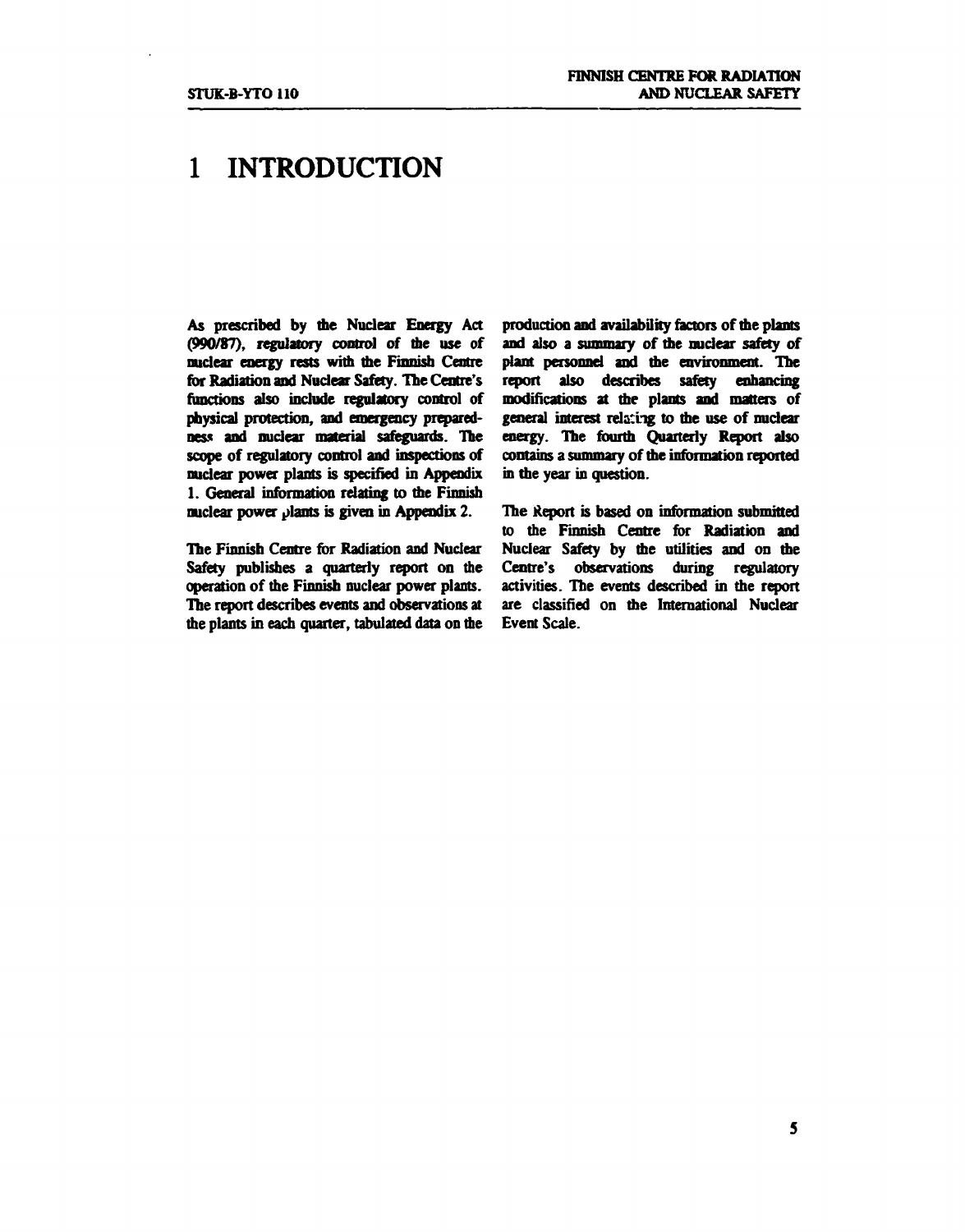# **1 INTRODUCTION**

**As prescribed by die Nuclear Energy Act (990/87), regulatory control of die use of nuclear energy rests widi die Finnisb Centre for Radiation and Nuclear Safety. The Centre's functions also include regulatory control of physical protection, and emergency preparedness and nuclear material safeguards. The scope of regulatory control and inspections of nuclear power plants is specified in Appendix 1. General information relating to die Finnish nuclear power plants is given in Appendix 2.** 

**The Finnisb Centre for Radiation and Nuclear Safety publishes a quarterly report on die operation of die Finnisb nuclear power plants. The report describes events and observations at die plants in each quarter, tabulated data on die**  **production and availability factors of die plants**  and also a summary of the nuclear safety of **plant personnel and die environment. The report also describes safety enhancing modifications at die plants and matters of**  general interest relating to the use of nuclear **energy. The fourth Quarterly Report also**  contains a summary of the information reported **in the year in question.** 

**The Report is based on information submitted to the Finnish Centre for Radiation and Nuclear Safety by die utilities and on die Centre's observations during regulatory activities. The events described in die report are classified on die International Nuclear Event Scale.**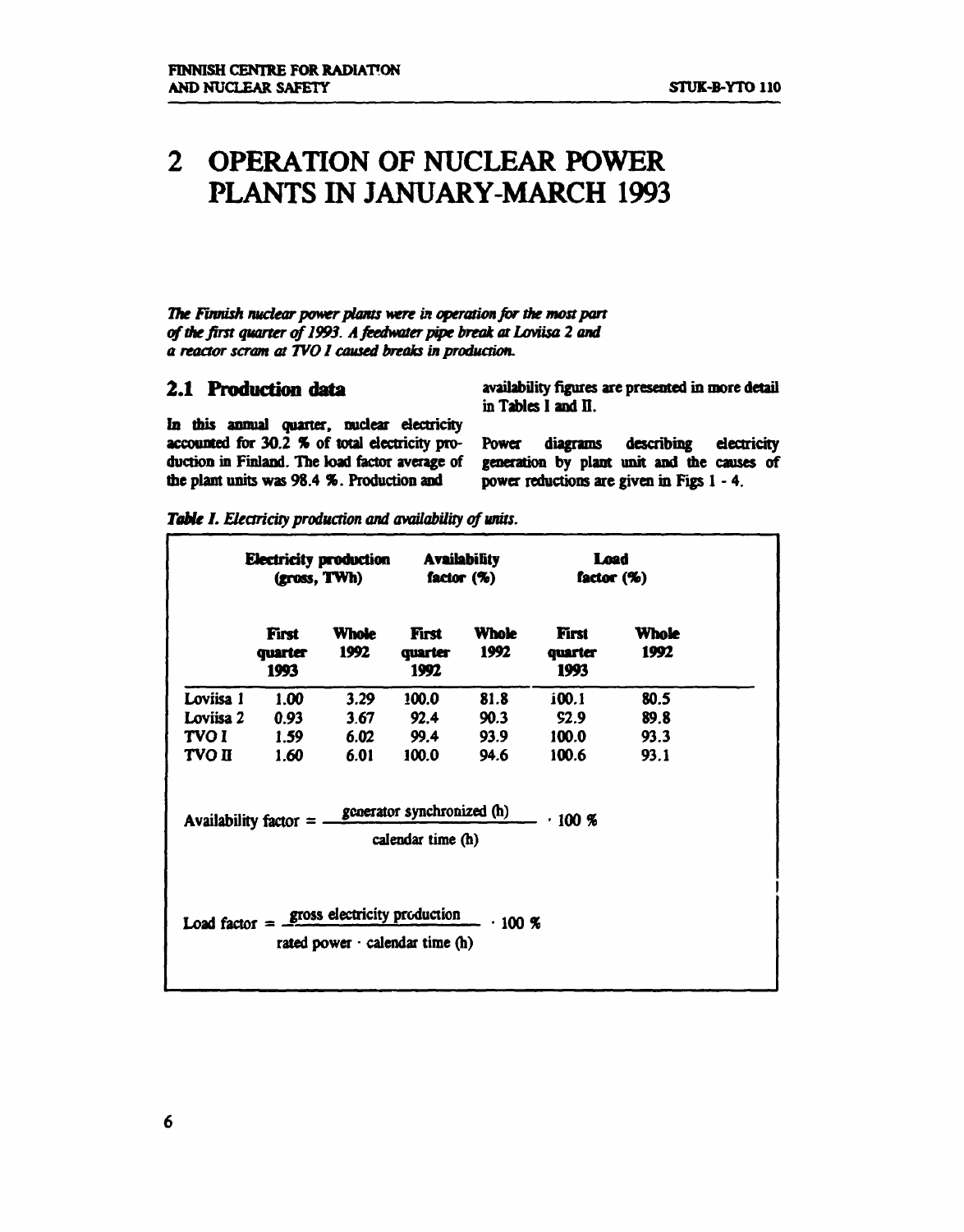# **2 OPERATION OF NUCLEAR POWER PLANTS IN JANUARY-MARCH 1993**

The Finnish nuclear power plants were in operation for the most part of the first quarter of 1993. A feedwater pipe break at Loviisa 2 and *a reactor scram at TVOI caused breaks in production.* 

#### **2.1 Production data**

**availability figures are presented in more detail in Tables I and II.** 

**In** *mis* **annual quarter, nuclear dectricity**  accounted for 30.2 % of total electricity pro**duction in Finland. The load factor average of die plant units was 98.4 %. Production and** 

**Power diagrams describing dectricity generation by plant unit and me causes of power reductions are given in Figs 1-4.** 

|                   | <b>Electricity production</b><br>(gross, TWh) |                                                                       | <b>Availability</b><br>factor $(\%)$            |                      | Load<br>factor $(\%)$    |               |
|-------------------|-----------------------------------------------|-----------------------------------------------------------------------|-------------------------------------------------|----------------------|--------------------------|---------------|
|                   | First<br>quarter<br>1993                      | <b>Whole</b><br>1992                                                  | First<br>quarter<br>1992                        | <b>Whole</b><br>1992 | First<br>quarter<br>1993 | Whole<br>1992 |
| Loviisa 1         | 1.00                                          | 3.29                                                                  | 100.0                                           | 81.8                 | i00.1                    | 80.5          |
| Loviisa 2         | 0.93                                          | 3.67                                                                  | 92.4                                            | 90.3                 | S2.9                     | 89.8          |
| TVO I             | 1.59                                          | 6.02                                                                  | 99.4                                            | 93.9                 | 100.0                    | 93.3          |
| <b>TVO II</b>     | 1.60                                          | 6.01                                                                  | 100.0                                           | 94.6                 | 100.6                    | 93.1          |
|                   | Availability factor $=$                       |                                                                       | generator synchronized (h)<br>calendar time (h) |                      | .100%                    |               |
| Load factor $=$ - |                                               | gross electricity production<br>rated power $\cdot$ calendar time (h) |                                                 | .100~%               |                          |               |

*Table I. Electricity production and availability of units.*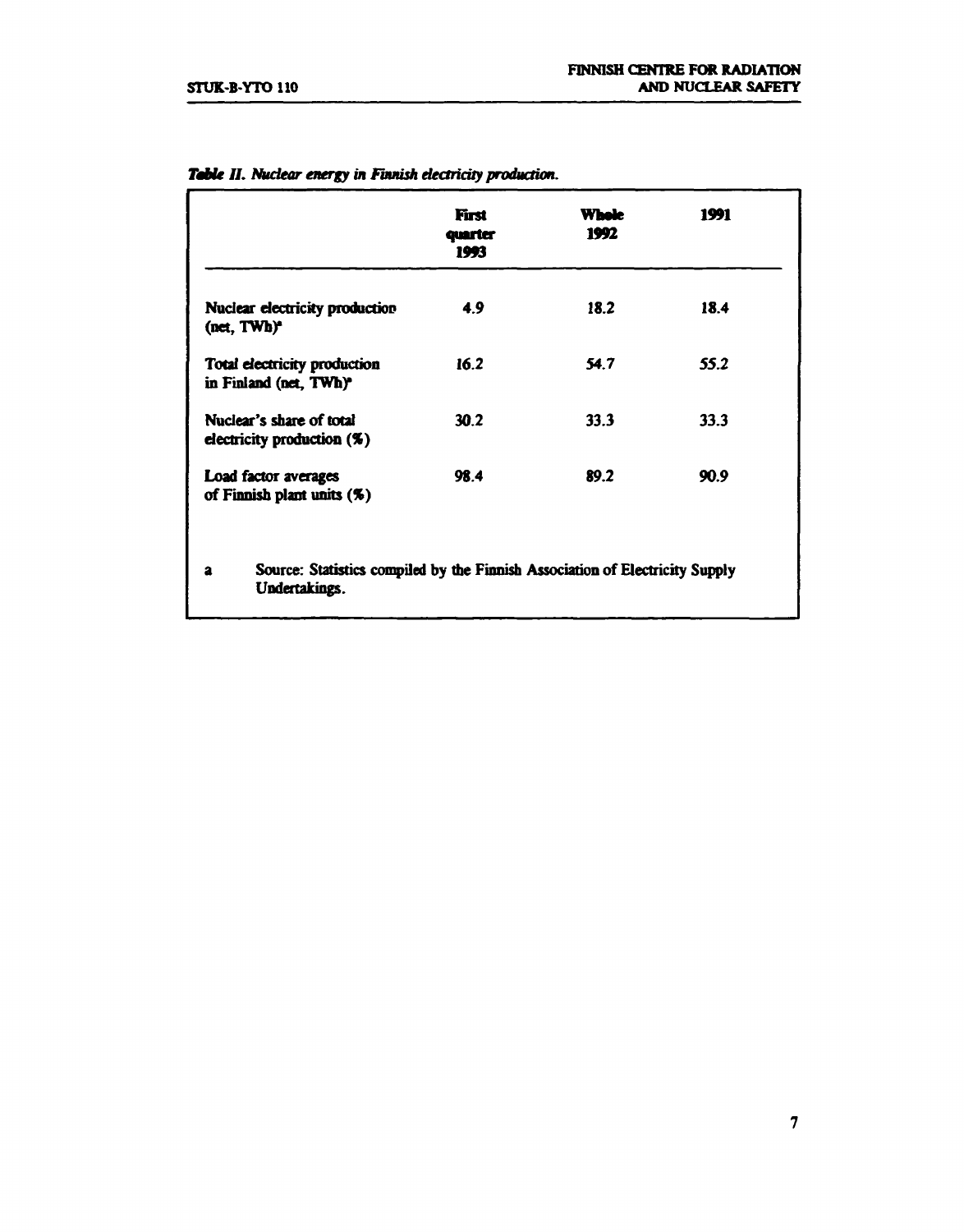|                                                                                                               | First<br>quarter<br>1993 | Whele<br>1992 | 1991 |
|---------------------------------------------------------------------------------------------------------------|--------------------------|---------------|------|
| Nuclear electricity production<br>(net, TWh) <sup>*</sup>                                                     | 4.9                      | 18.2          | 18.4 |
| Total electricity production<br>in Finland (net, TWh) <sup>*</sup>                                            | 16.2                     | 54.7          | 55.2 |
| Nuclear's share of total<br>electricity production $(\%)$                                                     | 30.2                     | 33.3          | 33.3 |
| Load factor averages<br>of Finnish plant units (%)                                                            | 98.4                     | 89.2          | 90.9 |
| Source: Statistics compiled by the Finnish Association of Electricity Supply<br>$\mathbf{a}$<br>Undertakings. |                          |               |      |

### *Table II. Nuclear energy in Finnish electricity production.*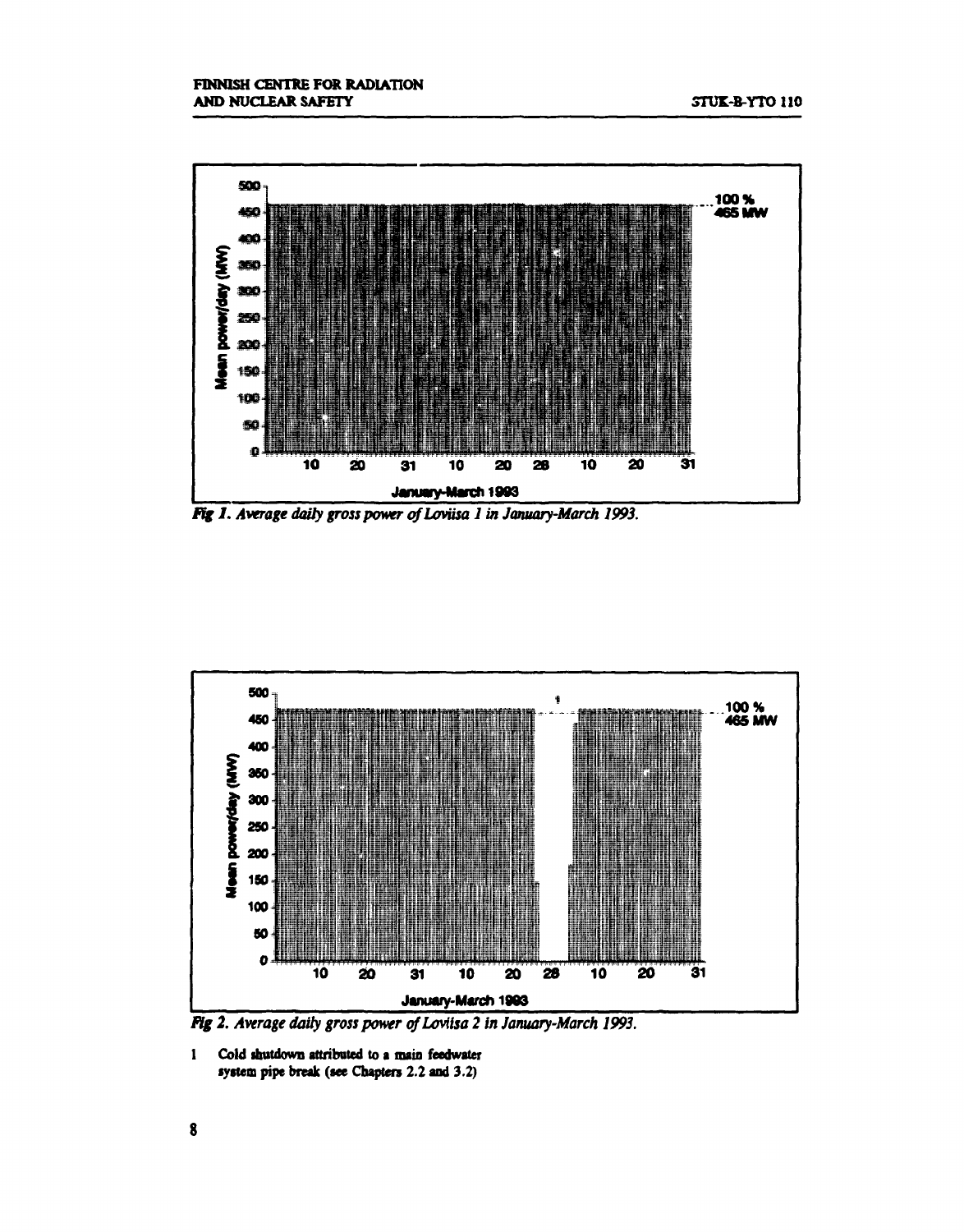

*Fig J. Average daily gross power of Loviisa 1 in January-March 1993.* 



*Fig 2. Average daily gross power of Loviisa 2 in January-March 1993.* 

**1 Cold ihutdown attributed to a main feedwater system pipe break (see Chapters 2.2 and 3.2)**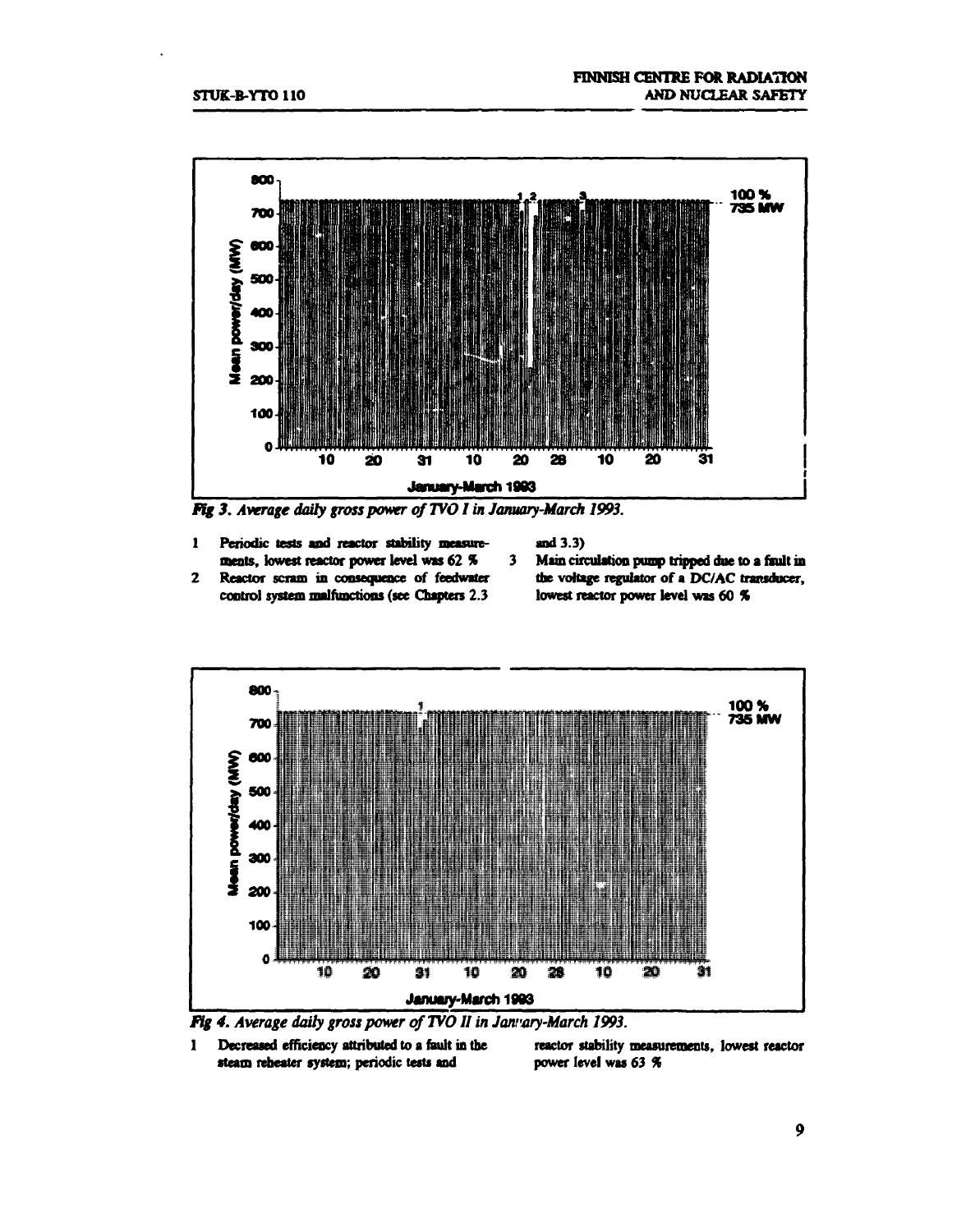

*Fig 3. Average daily gross power of TVO I in January-March 1993.* 

**1 Periodic tests and reactor stability measurements, lowest reactor power level was 62 %** 

**and 3.3)** 

- **2 Reactor scram in consequence of feedwater control system malfunctions (see Chapters 2.3**
- $3<sup>7</sup>$ **Main circulation pump tripped due to a fault in**  the voltage regulator of a DC/AC transducer, **lowest reactor power level was 60** *%*





**1 Decreased efficiency attributed to a fault in the reactor stability measurements, lowest reactor**  steam reheater system; periodic tests and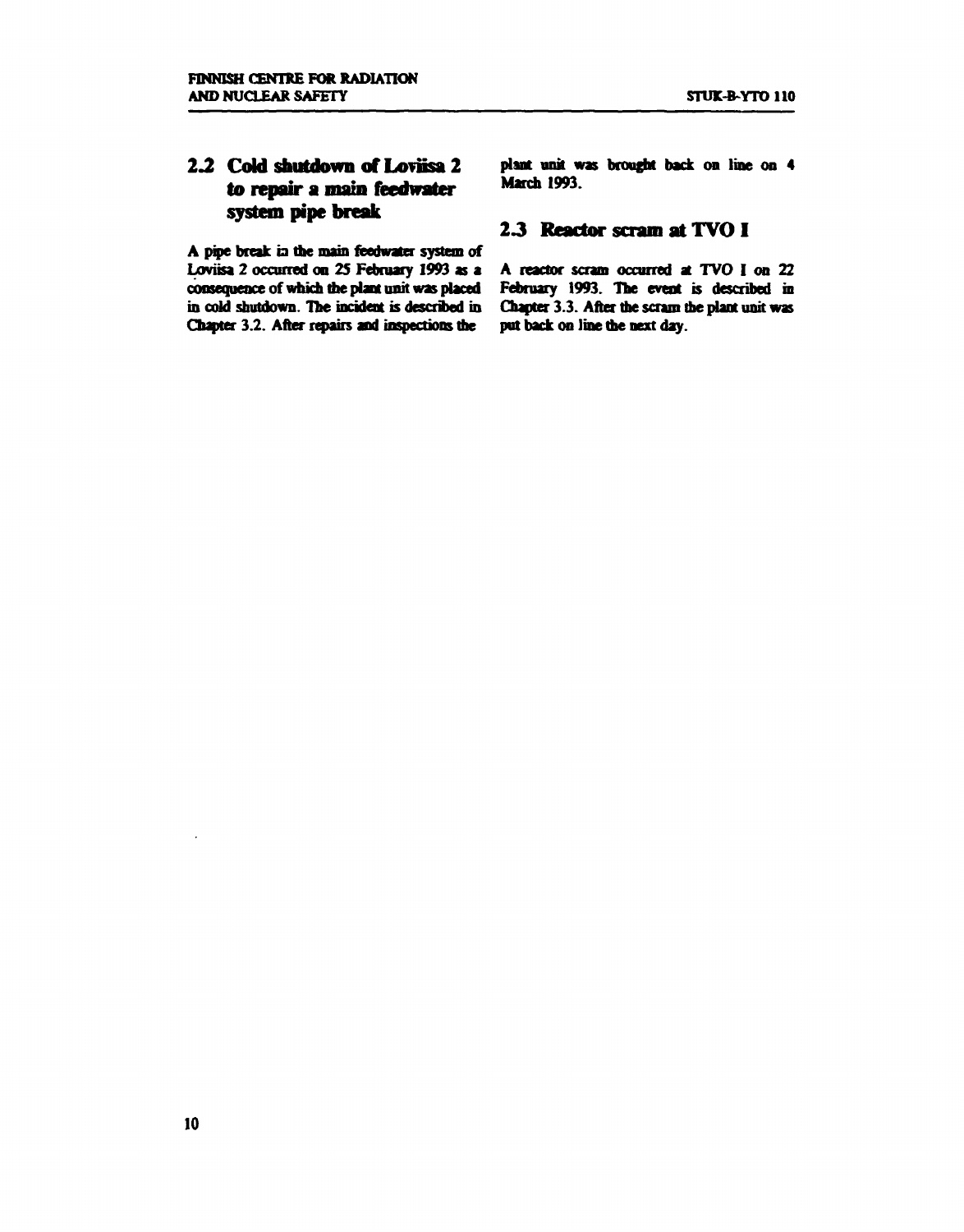## **2.2 Cold shutdown of Loviisa 2 to repair a main feedwater system pipe break**

**A pipe break ia the main reedwater system of Loviisa 2 occurred on 25 February 1993 as a consequence of which die plant unit was placed in cold shutdown. The incident is described in Chapter 3.2. After repairs and inspections die** 

**plant unit was brought back on line on 4 March 1993.** 

#### *23* **Reactor scram at TVO I**

**A reactor scram occurred at TVO I on 22 February 1993. The event is described in Chapter 3.3. After me scram die plant unit was put back on line die next day.**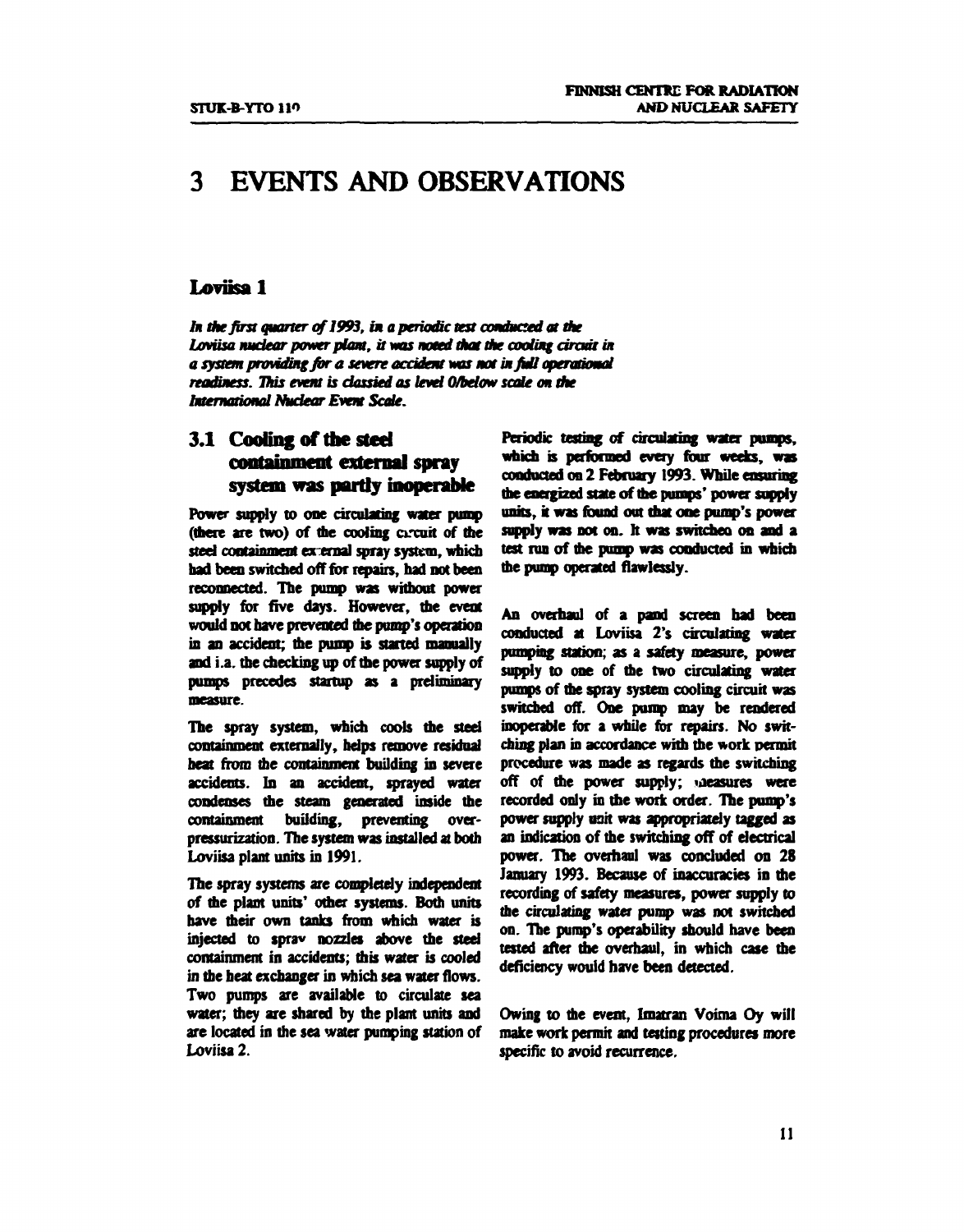# **3 EVENTS AND OBSERVATIONS**

#### **Loviisa 1**

*In the first quarter of1993, in a periodic test conduced at the*  Loviisa nuclear power plant, it was noted that the cooling circuit in a system providing for a severe accident was not in full operational *readiness. This event is dassied as level 0/below scale on the International Nudear Event Sade.* 

## **3.1 Cooling of the stcd containment external spray system was partly inoperable**

**Power supply to one circulating water pump (mere are two) of me cooling circuit of me**  steel containment external spray system, which **had been switched off for repairs, had not been reconnected. The pump was without power supply for five days. However, die event would not have prevented die pump's operation in an accident; me pump is started manually and i.a. the checking up of me power supply of pumps precedes startup as a preliminary measure.** 

**The spray system, which cools the steel containment externally, helps remove residual**  heat from the containment building in severe **accidents. In an accident, sprayed water condenses me steam generated inside the containment building, preventing overpressurization. The system was installed at both Loviisa plant units in 1991.** 

**The spray systems are completely independent of me plant units' other systems. Both units nave their own tanks from which water is injected to sprav nozzles above die steel containment in accidents; mis water is cooled in the beat exchanger in which sea water flows. Two pumps are available to circulate sea water; they are shared by the plant units and are located in the sea water pumping station of Loviisa 2.** 

**Periodic testing of circulating water pumps, which is performed every four weeks, was**  conducted on 2 February 1993. While ensuring **die energized state of die pumps' power supply units, it was found out that one pump's power supply was not on. It was switched on and a test run of die pump was conducted in which die pump operated flawlessly.** 

**An overhaul of a pand screen bad been conducted at Loviisa 2's circulating water pumping station; as a safety measure, power**  supply to one of the two circulating water **pumps of die spray system cooling circuit was switched off. One pump may be rendered inoperable for a while for repairs. No switching plan in accordance wim die work permit procedure was made as regards me switching off of me power supply; measures were recorded only in die work order. The pump's power supply unit was appropriately tagged as an indication of the switching off of electrical power. The overhaul was concluded on 28 January 1993. Because of inaccuracies in die recording of safety measures, power supply to die circulating water pump was not switched on. The pump's operability should have been**  tested after the overhaul, in which case the **deficiency would have been detected.** 

**Owing to the event, Imatran Voima Oy will make work permit and testing procedures more specific to avoid recurrence.**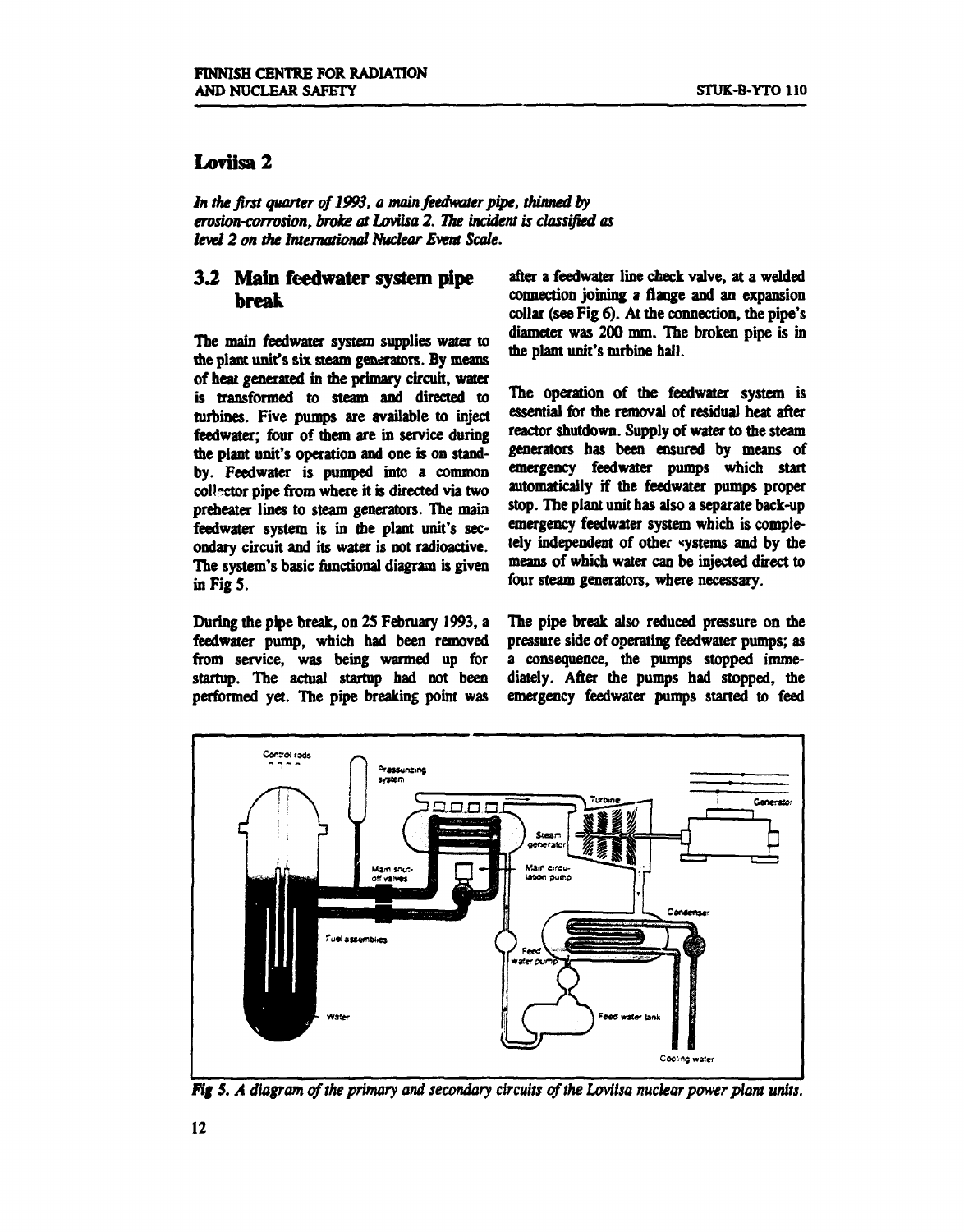## **Loviisa 2**

*In the first quarter of 1993, a main feedwater pipe, thinned by erosion-corrosion, broke at Loviisa 2. The incident is classified as level 2 on the International Nuclear Event Scale.* 

### **3.2 Main feedwater system pipe break**

**The main feedwater system supplies water to the plant unit's six steam generators. By means of heat generated in the primary circuit, water is transformed to steam and directed to turbines. Five pumps are available to inject feedwater; four of them are in service during the plant unit's operation and one is on standby. Feedwater is pumped into a common**  collector pipe from where it is directed via two **preheater lines to steam generators. The main feedwater system is in the plant unit's secondary circuit and its water is not radioactive. The system's basic functional diagram is given in Fig 5.** 

**During the pipe break, on 25 February 1993, a feedwater pump, which had been removed from service, was being warmed up for startup. The actual startup had not been performed yet. The pipe breaking point was**  **after a feedwater line check valve, at a welded connection joining a flange and an expansion collar (see Fig 6). At the connection, the pipe's diameter was 200 mm. The broken pipe is in me plant unit's turbine hall.** 

**The operation of the feedwater system is essential for the removal of residual heat after reactor shutdown. Supply of water to the steam generators has been ensured by means of emergency feedwater pumps which start automatically if the feedwater pumps proper stop. The plant unit has also a separate back-up emergency feedwater system which is completely independent of other systems and by the means of which water can be injected direct to four steam generators, where necessary.** 

**The pipe break also reduced pressure on the pressure side of operating feedwater pumps; as a consequence, the pumps stopped immediately. After the pumps had stopped, the emergency feedwater pumps started to feed** 



*Fig 5. A diagram of the primary and secondary circuits of the Loviisa nuclear power plant units.*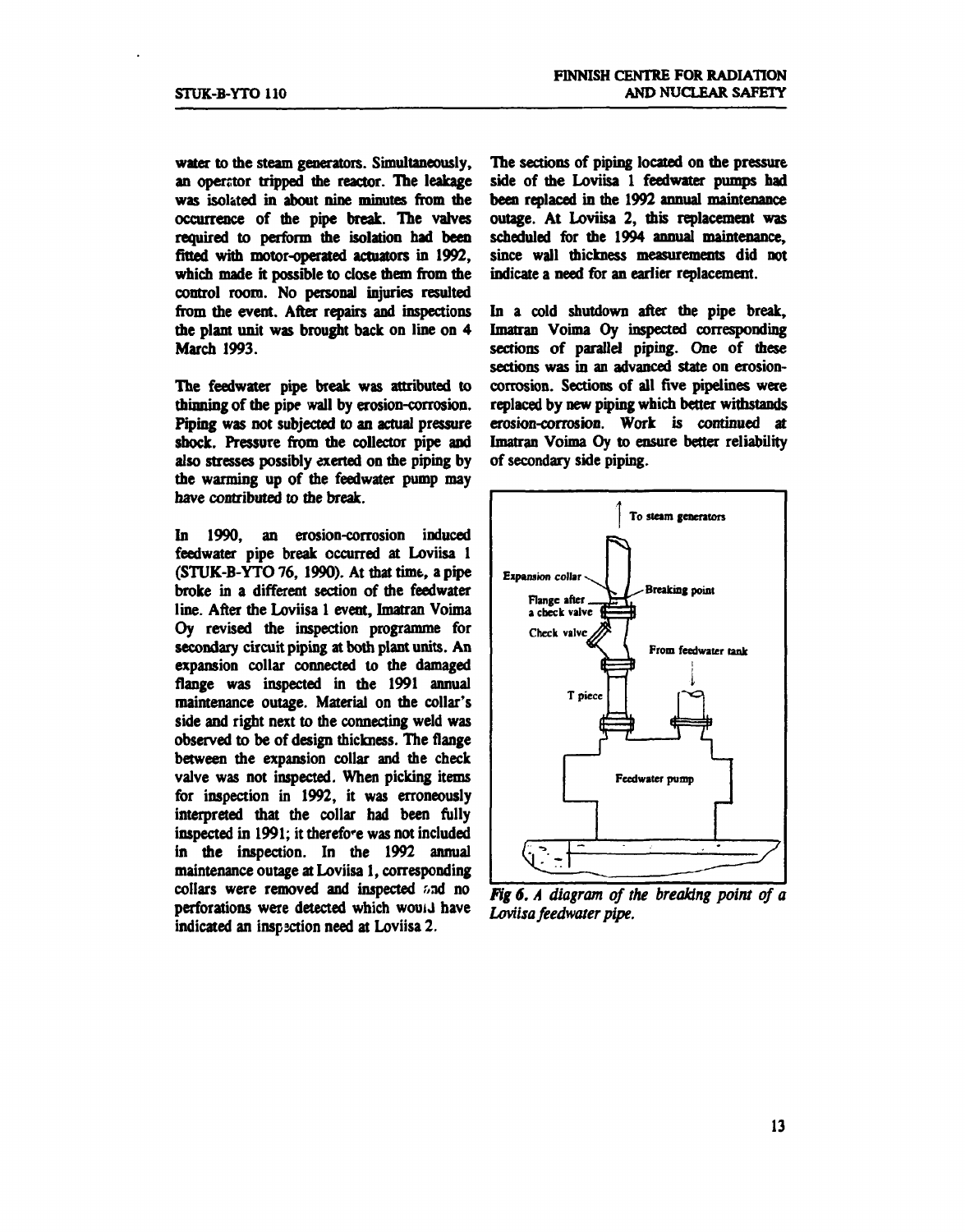**water to the steam generators. Simultaneously, an operator tripped the reactor. The leakage was isolated in about nine minutes from the occurrence of the pipe break. The valves required to perform the isolation had been fitted with motor-operated actuators in 1992,**  which made it possible to close them from the **control room. No personal injuries resulted from the event. After repairs and inspections the plant unit was brought back on line on 4 March 1993.** 

**The feedwater pipe break was attributed to thinning of the pipe wall by erosion-corrosion. Piping was not subjected to an actual pressure shock. Pressure from the collector pipe and also stresses possibly exerted on the piping by the wanning up of the feedwater pump may have contributed to the break.** 

**In 1990, an erosion-corrosion induced feedwater pipe break occurred at Loviisa 1 (STUK-B-YTO 76, 1990). At that time, a pipe broke in a different section of the feedwater line. After the Loviisa 1 event, Imatran Voima Oy revised the inspection programme for secondary circuit piping at both plant units. An expansion collar connected to the damaged flange was inspected in the 1991 annual maintenance outage. Material on the collar's side and right next to the connecting weld was observed to be of design thickness. The flange between die expansion collar and the check valve was not inspected. When picking items for inspection in 1992, it was erroneously interpreted that the collar had been fully inspected in 1991; it therefore was not included in the inspection. In the 1992 annual maintenance outage at Loviisa 1, corresponding collars were removed and inspected '»nd no**  perforations were detected which would have **indicated an inspsction need at Loviisa 2.** 

**The sections of piping located on the pressure side of the Loviisa 1 feedwater pumps had been replaced in the 1992 annual maintenance outage. At Loviisa 2, this replacement was scheduled for the 1994 annual maintenance, since wall thickness measurements did not indicate a need for an earlier replacement.** 

**In a cold shutdown after the pipe break, Imatran Voima Oy inspected corresponding sections of parallel piping. One of these sections was in an advanced state on erosioncorrosion. Sections of all five pipelines were replaced by new piping which better withstands erosion-corrosion. Work is continued at Imatran Voima Oy to ensure better reliability of secondary side piping.** 



*fig 6. A diagram of the breaking point of a Loviisa feedwater pipe.*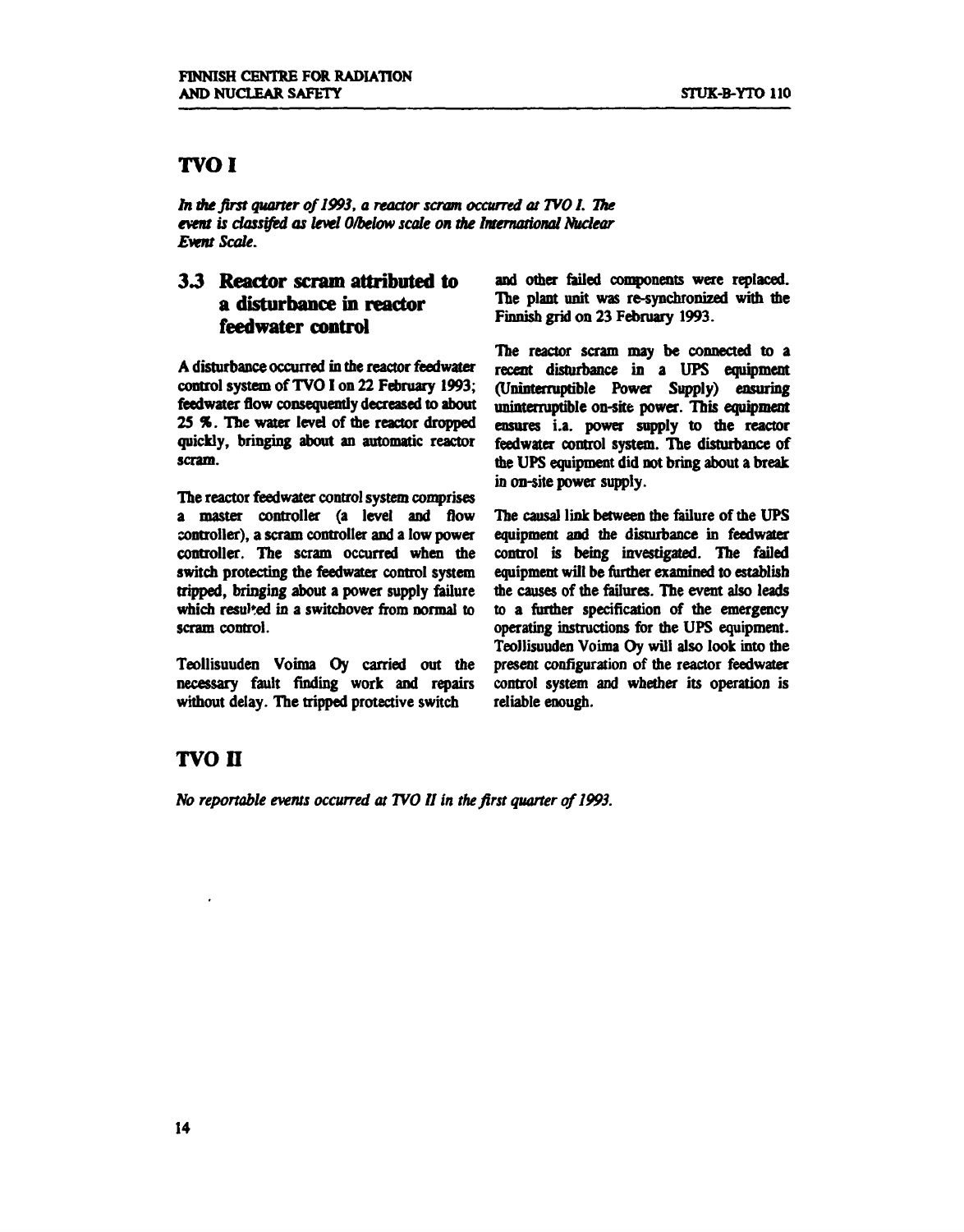## **TVOI**

*In the first quarter of1993, a reactor scram occurred at TWO 1. The event is classified as level 0/below scale on the International Nuclear Event Scale.* 

## *33* **Reactor scram attributed to a disturbance in reactor feedwater control**

**A disturbance occurred in the reactor feedwater**  control system of TVO I on 22 February 1993: **feedwater flow consequently decreased to about 25** *%.* **The water level of the reactor dropped quickly, bringing about an automatic reactor scram.** 

**The reactor feedwater control system comprises a master controller (a level and flow controller), a scram controller and a low power controller. The scram occurred when the switch protecting the feedwater control system tripped, bringing about a power supply failure**  which resulted in a switchover from normal to **scram control.** 

**Teollisuuden Voima Oy carried out the necessary fault finding work and repairs without delay. The tripped protective switch** 

**and other failed components were replaced. The plant unit was re-synchronized with the Finnish grid on 23 February 1993.** 

**The reactor scram may be connected to a recent disturbance in a UPS equipment (Uninterruptible Power Supply) ensuring uninterruptible on-site power. This equipment ensures i.a. power supply to the reactor feedwater control system. The disturbance of the UPS equipment did not bring about a break in on-site power supply.** 

**The causal link between the failure of the UPS equipment and the disturbance in feedwater control is being investigated. The failed equipment will be further examined to establish the causes of the failures. The event also leads to a further specification of the emergency operating instructions for the UPS equipment. Teollisuuden Voima Oy will also look into the present configuration of the reactor feedwater control system and whether its operation is reliable enough.** 

# **TVO n**

*No reportable events occurred at TVO II in the first quarter of 1993.*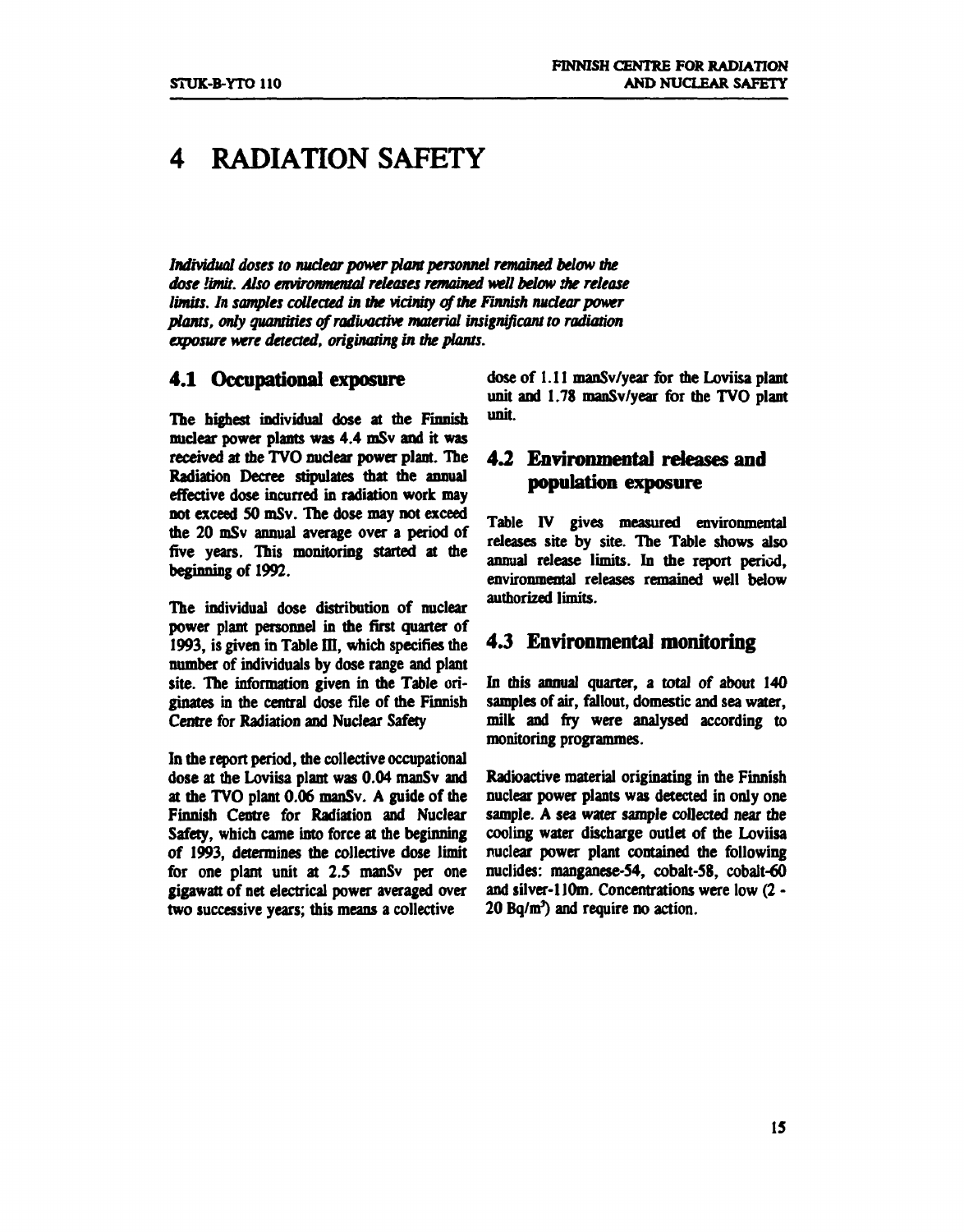# **4 RADIATION SAFETY**

*Individual doses to nuclear power plant personnel remained below the dose limit. Also environmental releases remained well below the release limits. In samples collected in the vicinity of the Finnish nuclear power plants, only quantities of radioactive material insignificant to radiation exposure were detected, originating in the plants.* 

#### **4.1 Occupational exposure**

**The highest individual dose at the Finnish nuclear power plants was 4.4 mSv and it was received at the TVO nuclear power plant. The Radiation Decree stipulates that the annual effective dose incurred in radiation work may not exceed SO mSv. The dose may not exceed the 20 mSv annual average over a period of five years. This monitoring started at the beginning of 1992.** 

**The individual dose distribution of nuclear power plant personnel in the first quarter of**  1993, is given in Table III, which specifies the **number of individuals by dose range and plant**  site. The information given in the Table ori**ginates in the central dose file of the Finnish Centre for Radiation and Nuclear Safety** 

**In the report period, the collective occupational dose at the Loviisa plant was 0.04 manSv and at the TVO plant 0.06 manSv. A guide of the Finnish Centre for Radiation and Nuclear Safety, which came into force at the beginning of 1993, determines the collective dose limit for one plant unit at 2.5 manSv per one gigawatt of net electrical power averaged over two successive years; this means a collective** 

**dose of 1.11 manSv/year for the Loviisa plant unit and 1.78 manSv/year for the TVO plant unit.** 

## **4.2 Environmental releases and population exposure**

**Table IV gives measured environmental releases site by site. The Table shows also annual release limits. In the report period, environmental releases remained well below authorized limits.** 

### **4.3 Environmental monitoring**

**In this annual quarter, a total** *of* **about 140 samples of air, fallout, domestic and sea water, milk and fry were analysed according to monitoring programmes.** 

**Radioactive material originating in the Finnish nuclear power plants was detected in only one sample. A sea water sample collected near the cooling water discharge outlet of the Loviisa nuclear power plant contained the following nuclides: manganese-54, cobalt-58, cobalt-60**  and silver-110m. Concentrations were low (2 -**20 Bq/m<sup>3</sup> ) and require no action.**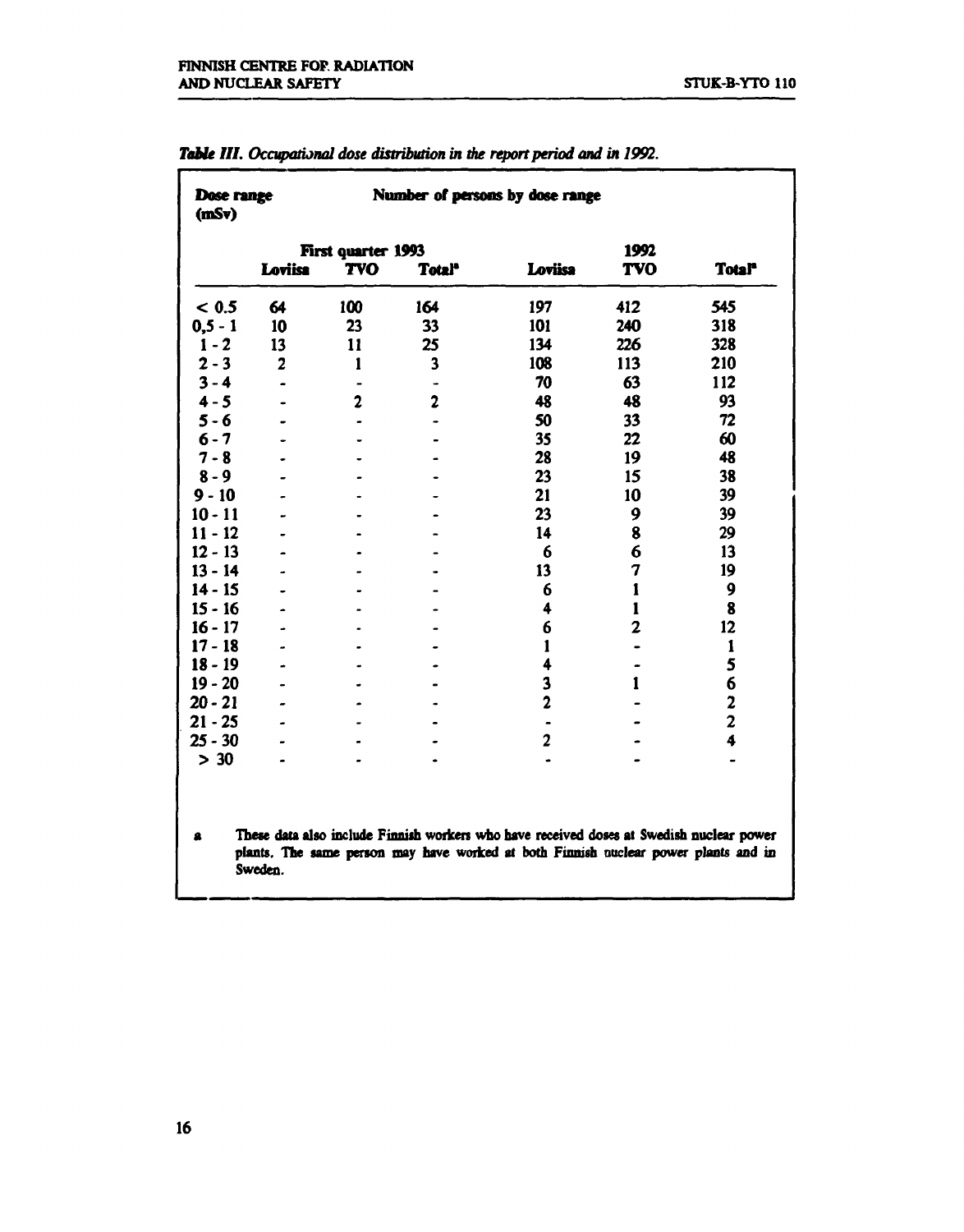| Dose range<br>(mSv)                                                                                                                                                                             |                |                    | Number of persons by dose range |                |                |                         |  |  |
|-------------------------------------------------------------------------------------------------------------------------------------------------------------------------------------------------|----------------|--------------------|---------------------------------|----------------|----------------|-------------------------|--|--|
|                                                                                                                                                                                                 |                | First quarter 1993 |                                 |                | 1992           |                         |  |  |
|                                                                                                                                                                                                 | Loviisa        | <b>TVO</b>         | Totalº                          | Loviisa        | <b>TVO</b>     | <b>Total</b>            |  |  |
| < 0.5                                                                                                                                                                                           | 64             | 100                | 164                             | 197            | 412            | 545                     |  |  |
| $0, 5 - 1$                                                                                                                                                                                      | 10             | 23                 | 33                              | 101            | 240            | 318                     |  |  |
| $1 - 2$                                                                                                                                                                                         | 13             | 11                 | 25                              | 134            | 226            | 328                     |  |  |
| $2 - 3$                                                                                                                                                                                         | $\overline{2}$ | $\mathbf{1}$       | $\overline{\mathbf{3}}$         | 108            | 113            | 210                     |  |  |
| $3 - 4$                                                                                                                                                                                         |                | $\blacksquare$     |                                 | 70             | 63             | 112                     |  |  |
| $4 - 5$                                                                                                                                                                                         |                | $\overline{c}$     | $\overline{2}$                  | 48             | 48             | 93                      |  |  |
| $5 - 6$                                                                                                                                                                                         |                |                    |                                 | 50             | 33             | 72                      |  |  |
| $6 - 7$                                                                                                                                                                                         |                |                    | $\blacksquare$                  | 35             | 22             | 60                      |  |  |
| $7 - 8$                                                                                                                                                                                         |                |                    |                                 | 28             | 19             | 48                      |  |  |
| $8 - 9$                                                                                                                                                                                         |                |                    |                                 | 23             | 15             | 38                      |  |  |
| $9 - 10$                                                                                                                                                                                        |                |                    |                                 | 21             | 10             | 39                      |  |  |
| $10 - 11$                                                                                                                                                                                       |                |                    |                                 | 23             | 9              | 39                      |  |  |
| $11 - 12$                                                                                                                                                                                       |                |                    |                                 | 14             | 8              | 29                      |  |  |
| $12 - 13$                                                                                                                                                                                       |                |                    |                                 | 6              | 6              | 13                      |  |  |
| $13 - 14$                                                                                                                                                                                       |                |                    |                                 | 13             | 7              | 19                      |  |  |
| $14 - 15$                                                                                                                                                                                       |                |                    |                                 | 6              | $\mathbf{I}$   | 9                       |  |  |
| $15 - 16$                                                                                                                                                                                       |                |                    |                                 | 4              | $\mathbf{1}$   | 8                       |  |  |
| $16 - 17$                                                                                                                                                                                       |                |                    |                                 | 6              | $\overline{2}$ | 12                      |  |  |
| $17 - 18$                                                                                                                                                                                       |                |                    |                                 | $\mathbf{1}$   |                | $\mathbf{1}$            |  |  |
| $18 - 19$                                                                                                                                                                                       |                |                    |                                 | 4              |                | 5                       |  |  |
| $19 - 20$                                                                                                                                                                                       |                |                    |                                 | 3              | 1              | 6                       |  |  |
| $20 - 21$                                                                                                                                                                                       |                |                    |                                 | $\overline{c}$ |                | $\overline{\mathbf{c}}$ |  |  |
| $21 - 25$                                                                                                                                                                                       |                |                    |                                 |                |                | $\overline{2}$          |  |  |
| $25 - 30$                                                                                                                                                                                       |                |                    |                                 | $\overline{2}$ |                | 4                       |  |  |
| $> 30$                                                                                                                                                                                          |                |                    |                                 |                |                |                         |  |  |
| These data also include Finnish workers who have received doses at Swedish nuclear power<br>2<br>plants. The same person may have worked at both Finnish nuclear power plants and in<br>Sweden. |                |                    |                                 |                |                |                         |  |  |

*Table III. Occupational dose distribution in the report period and in 1992.*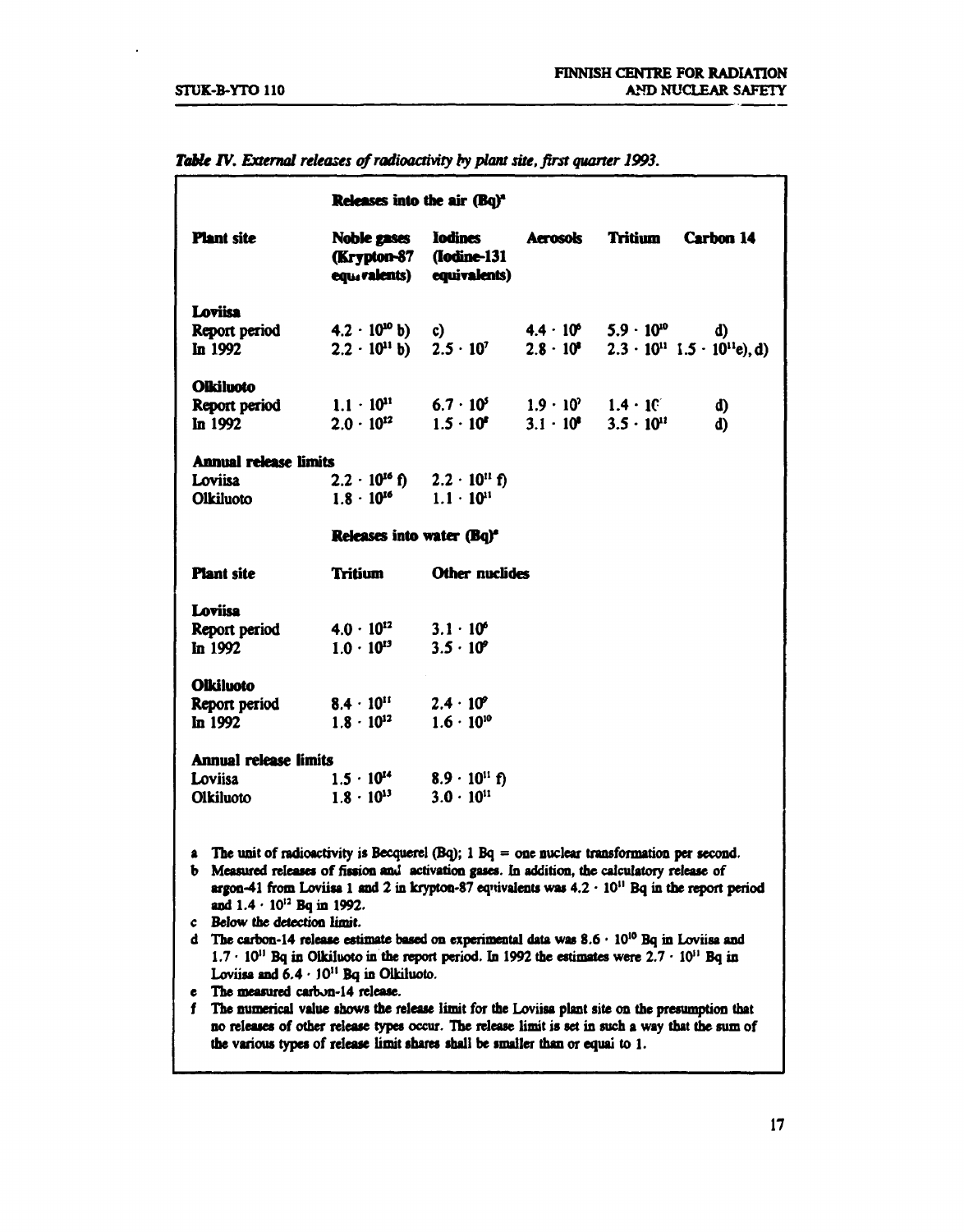$\ddot{\phantom{0}}$ 

|                                                                                                                                                                                                                                                                                                                                                                                                                                                                                                                                                                                                                                                                                                                                                                                                                                                                                                                      | Releases into the air (Bq) <sup>4</sup>                              |                                                                          |                    |                                        |                                                               |
|----------------------------------------------------------------------------------------------------------------------------------------------------------------------------------------------------------------------------------------------------------------------------------------------------------------------------------------------------------------------------------------------------------------------------------------------------------------------------------------------------------------------------------------------------------------------------------------------------------------------------------------------------------------------------------------------------------------------------------------------------------------------------------------------------------------------------------------------------------------------------------------------------------------------|----------------------------------------------------------------------|--------------------------------------------------------------------------|--------------------|----------------------------------------|---------------------------------------------------------------|
| <b>Plant site</b>                                                                                                                                                                                                                                                                                                                                                                                                                                                                                                                                                                                                                                                                                                                                                                                                                                                                                                    | Noble gases<br>(Krypton-87                                           | <b>Iodines</b><br>(Iodine-131<br>equivalents) equivalents)               | <b>Aerosols</b>    | Tritium                                | <b>Carbon 14</b>                                              |
| <b>Loviisa</b><br>Report period<br>In 1992                                                                                                                                                                                                                                                                                                                                                                                                                                                                                                                                                                                                                                                                                                                                                                                                                                                                           | $4.2 \cdot 10^{10}$ b)<br>$2.2 \cdot 10^{11}$ b)                     | c)<br>$2.5 \cdot 10^{7}$                                                 | $2.8 \cdot 10^{8}$ | $4.4 \cdot 10^{6}$ 5.9 $\cdot 10^{10}$ | d)<br>$2.3 \cdot 10^{11}$ 1.5 $\cdot$ 10 <sup>11</sup> e), d) |
| <b>Olkiluoto</b><br>Report period<br>$\ln 1992$                                                                                                                                                                                                                                                                                                                                                                                                                                                                                                                                                                                                                                                                                                                                                                                                                                                                      | $1.1 \cdot 10^{11}$<br>$2.0 \cdot 10^{12}$                           | $6.7 \cdot 10^5$ $1.9 \cdot 10^7$ $1.4 \cdot 10^7$<br>$1.5 \cdot 10^{5}$ | $3.1 \cdot 10^8$   | $3.5 \cdot 10^{11}$                    | d)<br>d)                                                      |
| <b>Annual release limits</b>                                                                                                                                                                                                                                                                                                                                                                                                                                                                                                                                                                                                                                                                                                                                                                                                                                                                                         |                                                                      |                                                                          |                    |                                        |                                                               |
| Loviisa<br><b>Olkiluoto</b>                                                                                                                                                                                                                                                                                                                                                                                                                                                                                                                                                                                                                                                                                                                                                                                                                                                                                          | $2.2 \cdot 10^{16}$ f) $2.2 \cdot 10^{11}$ f)<br>$1.8 \cdot 10^{16}$ | $1.1 \cdot 10^{11}$                                                      |                    |                                        |                                                               |
|                                                                                                                                                                                                                                                                                                                                                                                                                                                                                                                                                                                                                                                                                                                                                                                                                                                                                                                      | Releases into water (Bq) <sup>*</sup>                                |                                                                          |                    |                                        |                                                               |
|                                                                                                                                                                                                                                                                                                                                                                                                                                                                                                                                                                                                                                                                                                                                                                                                                                                                                                                      |                                                                      |                                                                          |                    |                                        |                                                               |
| <b>Plant site</b>                                                                                                                                                                                                                                                                                                                                                                                                                                                                                                                                                                                                                                                                                                                                                                                                                                                                                                    | <b>Tritium</b>                                                       | Other nuclides                                                           |                    |                                        |                                                               |
| Loviisa                                                                                                                                                                                                                                                                                                                                                                                                                                                                                                                                                                                                                                                                                                                                                                                                                                                                                                              |                                                                      |                                                                          |                    |                                        |                                                               |
| Report period                                                                                                                                                                                                                                                                                                                                                                                                                                                                                                                                                                                                                                                                                                                                                                                                                                                                                                        | $4.0 \cdot 10^{12}$                                                  | $3.1 \cdot 10^{6}$                                                       |                    |                                        |                                                               |
| $\ln 1992$                                                                                                                                                                                                                                                                                                                                                                                                                                                                                                                                                                                                                                                                                                                                                                                                                                                                                                           | $1.0 \cdot 10^{13}$                                                  | $3.5 \cdot 10^{9}$                                                       |                    |                                        |                                                               |
| <b>Olkiluoto</b>                                                                                                                                                                                                                                                                                                                                                                                                                                                                                                                                                                                                                                                                                                                                                                                                                                                                                                     |                                                                      |                                                                          |                    |                                        |                                                               |
| Report period                                                                                                                                                                                                                                                                                                                                                                                                                                                                                                                                                                                                                                                                                                                                                                                                                                                                                                        | $8.4 \cdot 10^{11}$                                                  | $2.4 \cdot 10^{9}$                                                       |                    |                                        |                                                               |
| In 1992                                                                                                                                                                                                                                                                                                                                                                                                                                                                                                                                                                                                                                                                                                                                                                                                                                                                                                              | $1.8 \cdot 10^{12}$ $1.6 \cdot 10^{10}$                              |                                                                          |                    |                                        |                                                               |
| <b>Annual release limits</b>                                                                                                                                                                                                                                                                                                                                                                                                                                                                                                                                                                                                                                                                                                                                                                                                                                                                                         |                                                                      |                                                                          |                    |                                        |                                                               |
| Loviisa                                                                                                                                                                                                                                                                                                                                                                                                                                                                                                                                                                                                                                                                                                                                                                                                                                                                                                              | $1.5 \cdot 10^{14}$ 8.9 $\cdot 10^{11}$ f)                           |                                                                          |                    |                                        |                                                               |
| <b>Olkiluoto</b>                                                                                                                                                                                                                                                                                                                                                                                                                                                                                                                                                                                                                                                                                                                                                                                                                                                                                                     | $1.8 \cdot 10^{13}$                                                  | $3.0 \cdot 10^{11}$                                                      |                    |                                        |                                                               |
| a The unit of radioactivity is Becquerel (Bq); $1$ Bq = one nuclear transformation per second.<br>b Measured releases of fission and activation gases. In addition, the calculatory release of<br>$argon-41$ from Loviisa 1 and 2 in krypton-87 equivalents was $4.2 \cdot 10^{11}$ Bq in the report period<br>and $1.4 \cdot 10^{12}$ Bq in 1992.<br>c Below the detection limit.<br>d The carbon-14 release estimate based on experimental data was $8.6 \cdot 10^{10}$ Bq in Loviisa and<br>$1.7 \cdot 10^{11}$ Bq in Olkiluoto in the report period. In 1992 the estimates were $2.7 \cdot 10^{11}$ Bq in<br>Loviisa and $6.4 \cdot 10^{11}$ Bq in Olkiluoto.<br>The measured carbon-14 release.<br>e<br>The numerical value shows the release limit for the Lovijsa plant site on the presumption that<br>f<br>no releases of other release types occur. The release limit is set in such a way that the sum of |                                                                      |                                                                          |                    |                                        |                                                               |
| the various types of release limit shares shall be smaller than or equal to 1.                                                                                                                                                                                                                                                                                                                                                                                                                                                                                                                                                                                                                                                                                                                                                                                                                                       |                                                                      |                                                                          |                    |                                        |                                                               |

*Table* **TV.** *External releases of radioactivity by plant site, first quarter 1993.*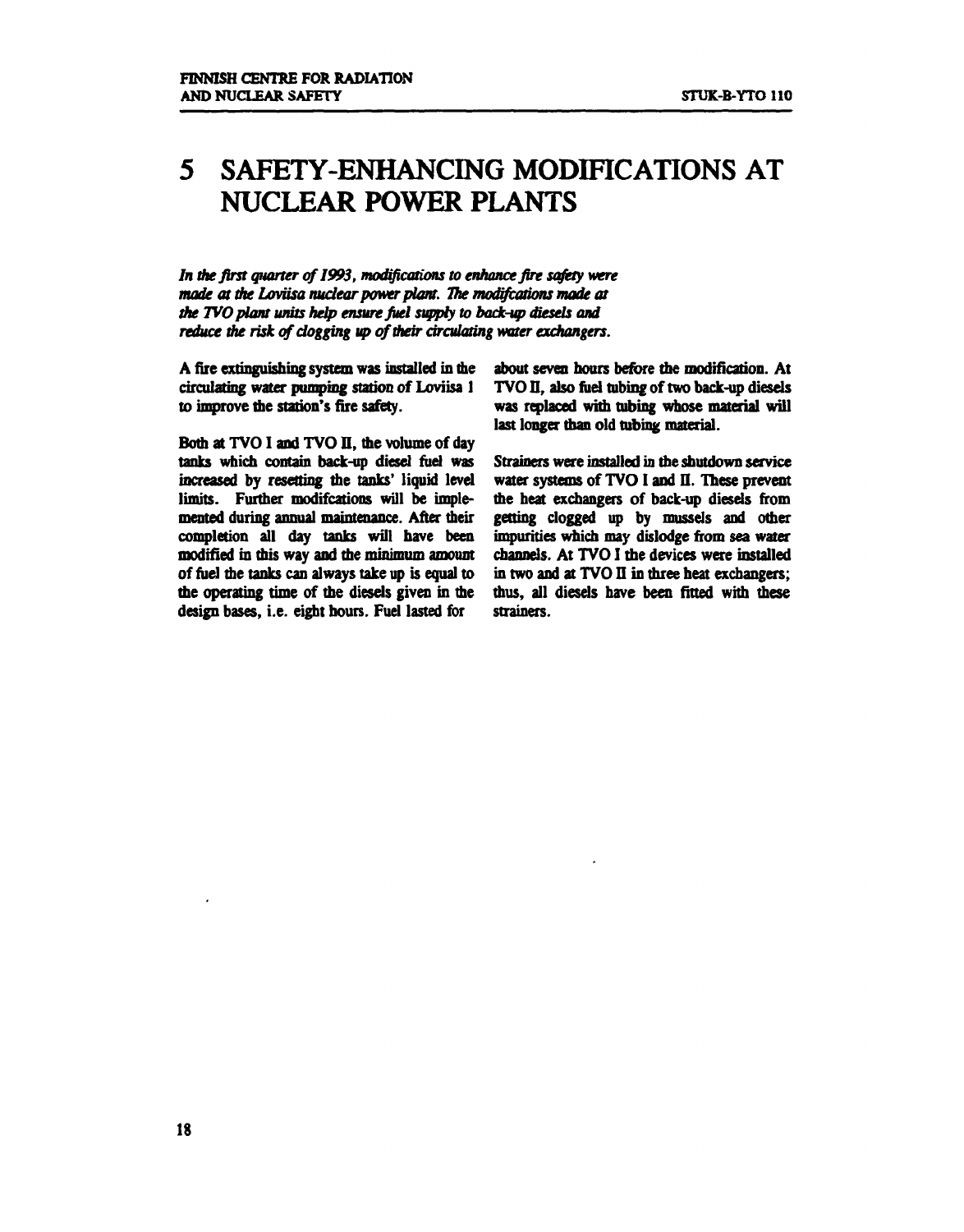# **5 SAFETY-ENHANCING MODIFICATIONS AT NUCLEAR POWER PLANTS**

*In the first quarter of1993, modifications to enhance fire safety were made at the Loviisa nuclear power plant. The modifcations made at the TVO plant units help ensure find supply to back-up diesels and reduce die risk of clogging up of their circulating water exchangers.* 

**A fire extinguishing system was installed in the circulating water pumping station of Loviisa 1 to improve the station's fire safety.** 

**Bom at TVO I and TVO** *U,* **the volume of day tanks which contain back-up diesel fuel was increased by resetting the tanks' liquid level limits. Further modifcations will be implemented during annual maintenance. After their completion all day tanks will have been modified in mis way and the minimum amount of fuel the tanks can always take up is equal to the operating time of the diesels given in the design bases, i.e. eight hours. Fuel lasted for** 

**about seven hours before the modification. At TVO II, also fuel tubing of two back-up diesels was replaced with tubing whose material will last longer than old tubing material.** 

**Strainers were installed in the shutdown service water systems of TVO I and II. These prevent the heat exchangers of back-up diesels from getting clogged up by mussels and other impurities which may dislodge from sea water channels. At TVO I the devices were installed in two and at TVO II in three heat exchangers; thus, all diesels have been fitted with these strainers.**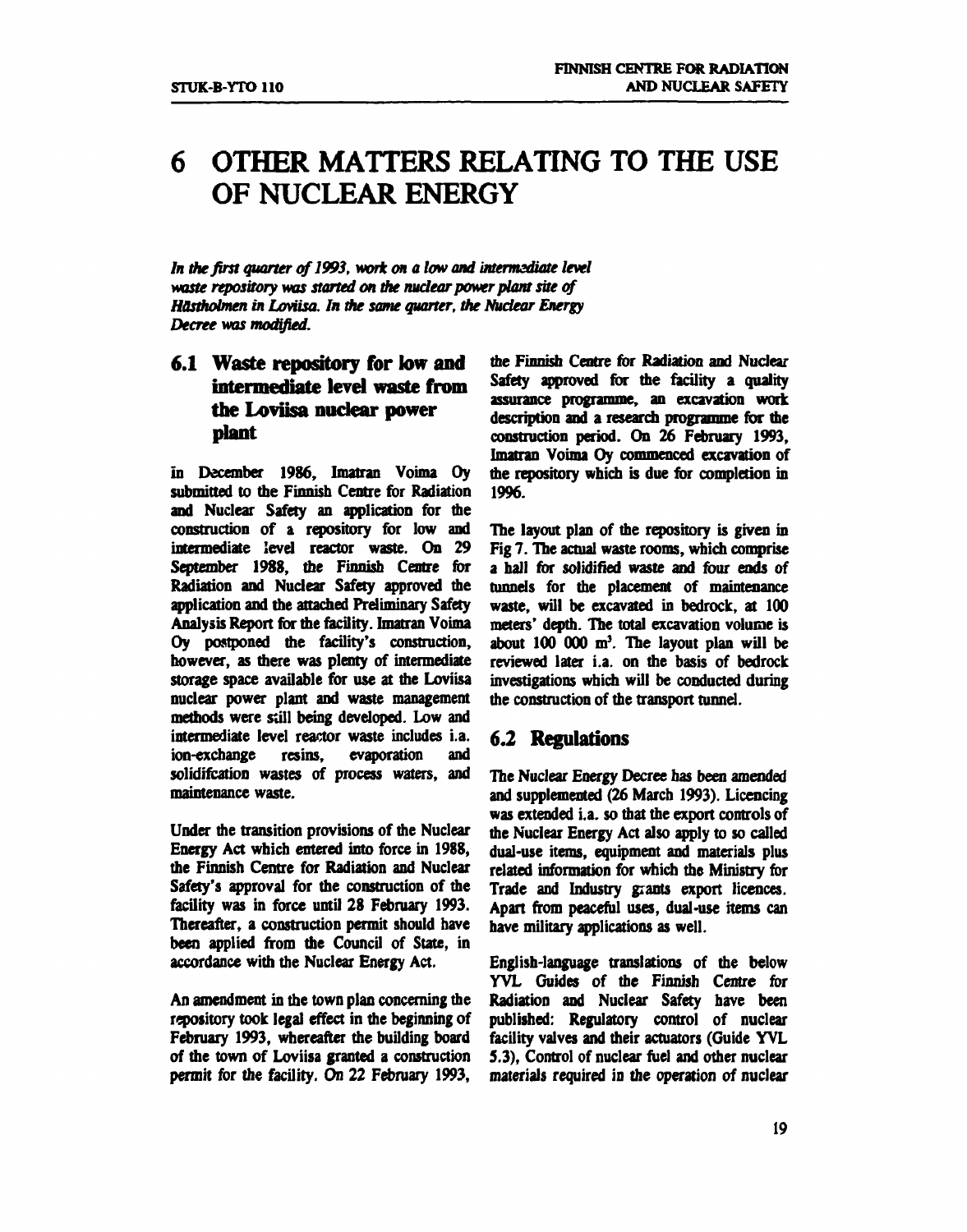# **6 OTHER MATTERS RELATING TO THE USE OF NUCLEAR ENERGY**

*In the first quarter of 1993, work on a low and intermediate level waste repository was started on the nudear power plant site of HOstholmen in Loviisa. In the same quarter, the Nudear Energy Decree was modified.* 

## **6.1 Waste repository for low and intermediate level waste from the Loviisa nudear power plant**

**in December 1986, Imatran Voima Oy submitted to the Finnish Centre for Radiation and Nuclear Safety an application for the construction of a repository for low and intermediate level reactor waste. On 29 September 1988, the Finnish Centre for Radiation and Nuclear Safety approved die application and the attached Preliminary Safety Analysis Report for the facility. Imatran Voima Oy postponed the facility's construction, however, as mere was plenty of intermediate storage space available for use at the Loviisa nuclear power plant and waste management methods were still being developed. Low and intermediate level reactor waste includes i.a. ion-exchange resins, evaporation and solidifcation wastes of process waters, and maintenance waste.** 

**Under the transition provisions of the Nuclear Energy Act which entered into force in 1988, the Finnish Centre for Radiation and Nuclear Safety's approval for the construction of the facility was in force until 28 February 1993. Thereafter, a construction permit should have been applied from die Council of State, in accordance with the Nuclear Energy Act.** 

**An amendment in the town plan concerning die repository took legal effect in the beginning of February 1993, whereafter the building board of the town of Loviisa granted a construction permit for the facility. On 22 February 1993,** 

**the Finnish Centre for Radiation and Nuclear Safety approved for me facility a quality assurance programme, an excavation work description and a research programme for the construction period. On 26 February 1993, Imatran Voima Oy commenced excavation of the repository which is due for completion in 1996.** 

**The layout plan of the repository is given in Fig 7. The actual waste rooms, which comprise a hall for solidified waste and four ends of tunnels for the placement of maintenance waste, will be excavated in bedrock, at 100 meters' depth. The total excavation volume is about 100 000 m<sup>3</sup> . The layout plan will be reviewed later i.a. on the basis of bedrock investigations which will be conducted during the construction of the transport tunnel.** 

### **6.2 Regulations**

**The Nuclear Energy Decree has been amended and supplemented (26 March 1993). Licencing was extended i.a. so that the export controls of the Nuclear Energy Act also apply to so called dual-use items, equipment and materials plus related information for which the Ministry for Trade and Industry giants export licences. Apart from peaceful uses, dual-use items can have military applications as well.** 

**English-language translations of the below YVL Guides of the Finnish Centre for Radiation and Nuclear Safety have been published: Regulatory control of nuclear facility valves and their actuators (Guide YVL 5.3), Control of nuclear fuel and other nuclear materials required in the operation of nuclear**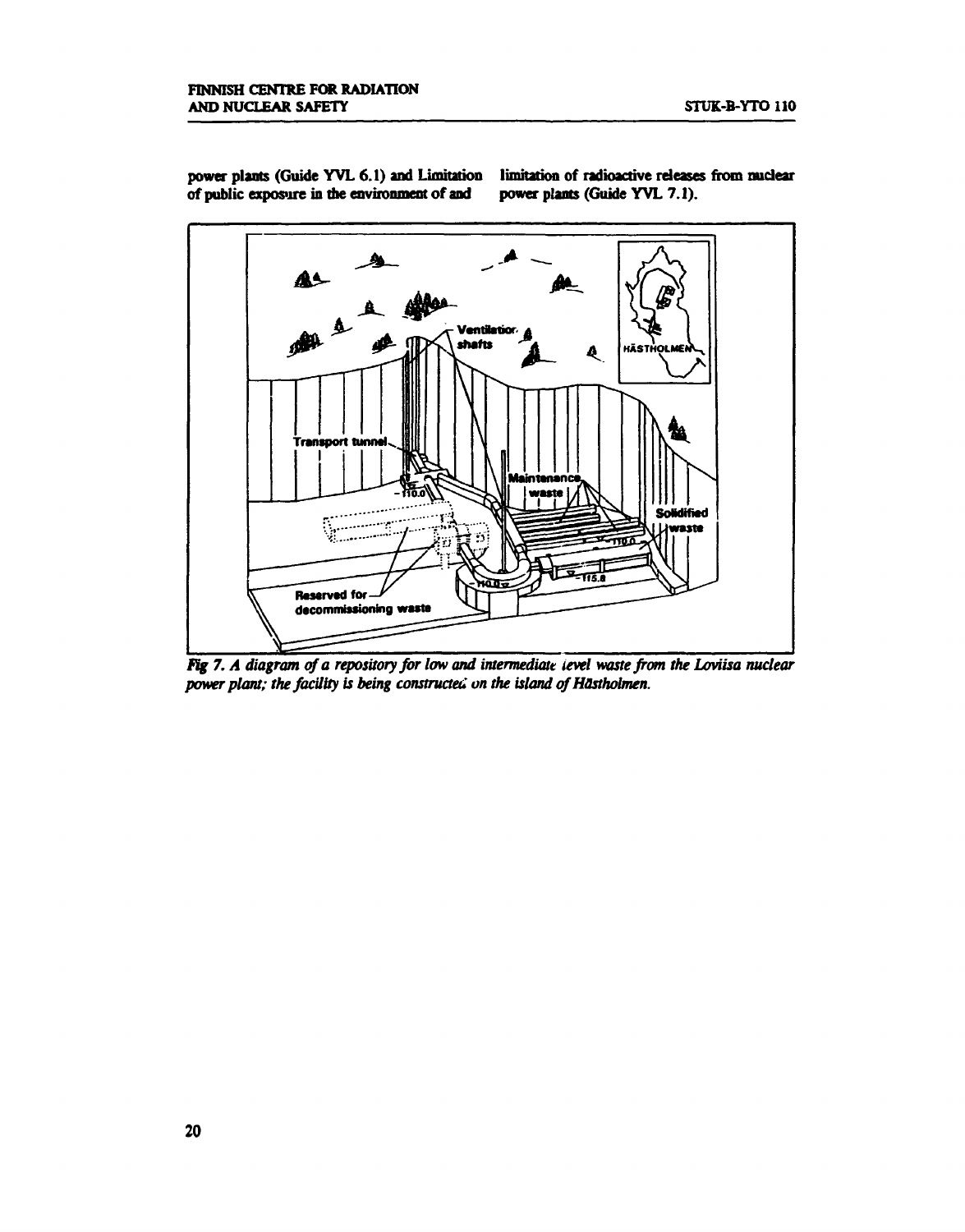

of public exposure in the environment of and

power plants (Guide YVL 6.1) and Limitation limitation of radioactive releases from nuclear of public exposure in the environment of and power plants (Guide YVL 7.1).

Fig 7. A diagram of a repository for low and intermediate level waste from the Loviisa nuclear *power plant; the facility is being constructed on the island of Hästholmen.*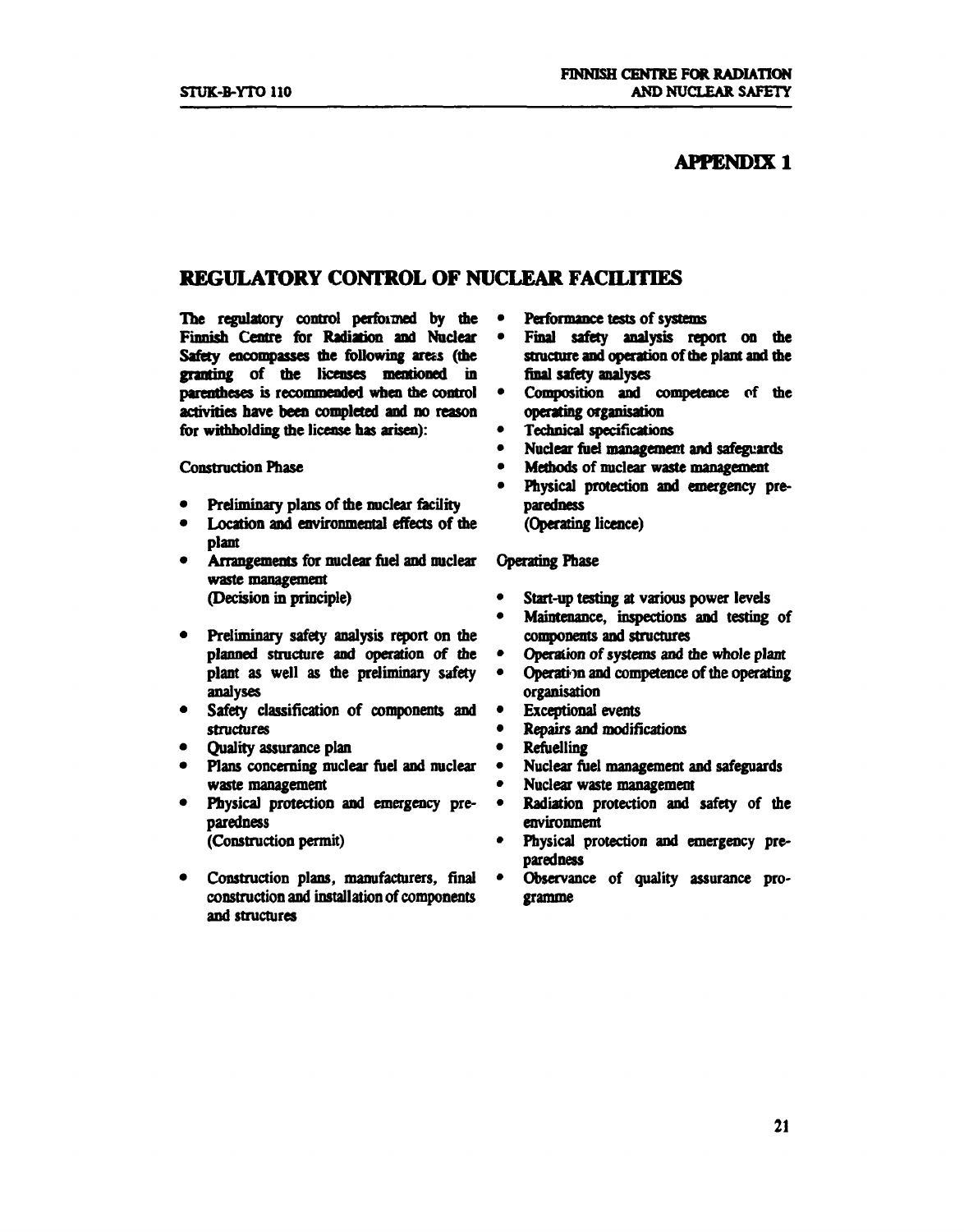## **APPENDIX 1**

## **REGULATORY CONTROL OF NUCLEAR FACILITIES**

**The regulatory control performed by the Finnish Centre for Radiation and Nuclear Safety encompasses the following ares (the granting of the licenses mentioned in parentheses is recommended when the control activities nave been completed and no reason**  for withholding the license has arisen):

**Construction Phase** 

- **Preliminary plans of the nuclear facility**
- **Location and environmental effects of the plant**
- **Arrangements for nuclear fuel and nuclear waste management (Decision in principle)**
- **Preliminary safety analysis report on the planned structure and operation of the plant as well as the preliminary safety analyses**
- **Safety classification of components and structures**
- **Quality assurance plan**
- **Plans concerning nuclear fuel and nuclear waste management**
- **Physical protection and emergency preparedness (Construction permit)**
- **Construction plans, manufacturers, final construction and installation of components and structures**
- **Performance tests of systems**
- **Final safety analysis report on the structure and operation of the plant and the fmal safety analyses**
- **Conmosition and competence of the operating organisation**
- **Technical specifications**
- **Nuclear fuel management and safeguards**
- **Methods of nuclear waste management**
- **Physical protection and emergency preparedness** 
	- **(Operating licence)**

#### **Operating Phase**

- **Start-up testing at various power levels**
- **Maintenance, inspections and testing of components and structures**
- **Operation of systems and the whole plant**
- **Operation and competence of the operating organisation**
- **Exceptional events**
- **Repairs and modifications**
- **Refuelling**
- **Nuclear fuel management and safeguards**
- **Nuclear waste management**
- **Radiation protection and safety of the environment**
- **Physical protection and emergency preparedness**
- **Observance of quality assurance programme**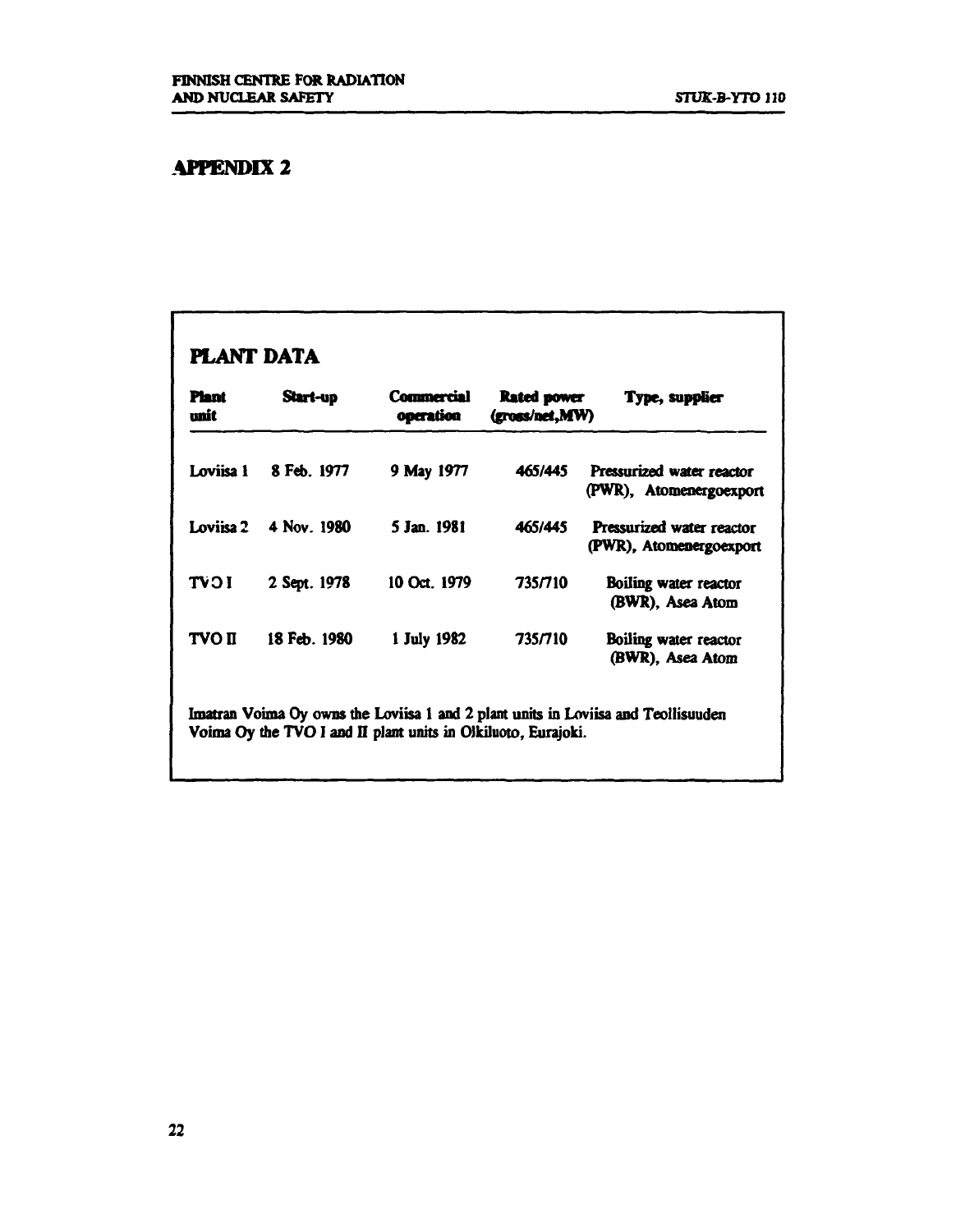# **APPENDIX 2**

# **PLANT DATA**

| <b>Plant</b><br>unit | Start-up     | <b>Commercial</b><br>operation                                | Rated power<br>(gross/net, MW) | Type, supplier                                                                    |
|----------------------|--------------|---------------------------------------------------------------|--------------------------------|-----------------------------------------------------------------------------------|
| Loviisa 1            | 8 Feb. 1977  | 9 May 1977                                                    | 465/445                        | Pressurized water reactor<br>(PWR), Atomenergoexport                              |
| Loviisa 2            | 4 Nov. 1980  | 5 Jan. 1981                                                   | 465/445                        | <b>Pressurized water reactor</b><br>(PWR), Atomenergoexport                       |
| <b>TVOI</b>          | 2 Sept. 1978 | 10 Oct. 1979                                                  | 735/710                        | Boiling water reactor<br>(BWR). Asea Atom                                         |
| <b>TVO II</b>        | 18 Feb. 1980 | 1 July 1982                                                   | 735/710                        | Boiling water reactor<br>(BWR), Asea Atom                                         |
|                      |              | Voima Oy the TVO I and II plant units in Olkiluoto, Eurajoki. |                                | Imatran Voima Oy owns the Loviisa 1 and 2 plant units in Loviisa and Teollisuuden |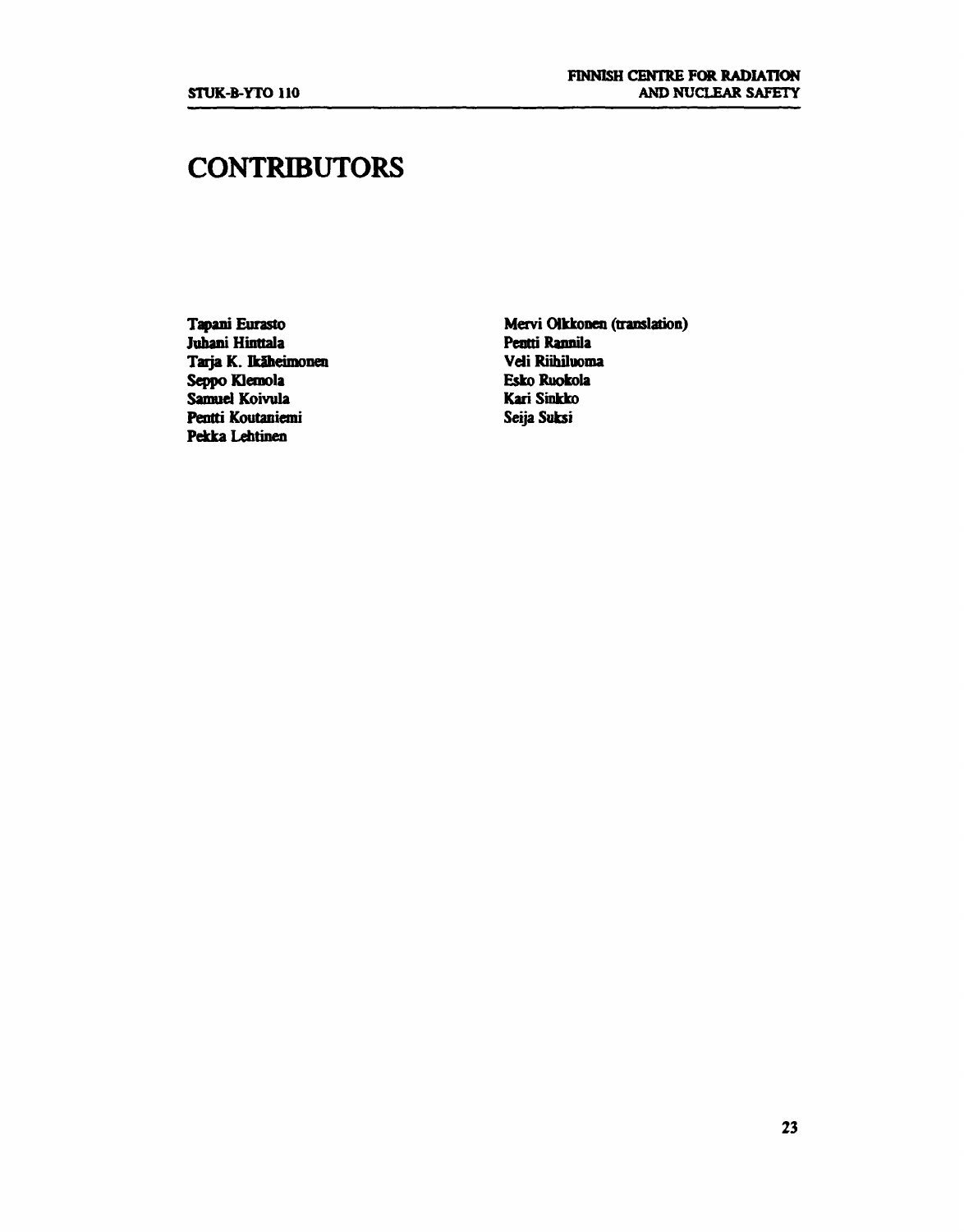# **CONTRIBUTORS**

**Tapani Eurasto Juhani Hinttala Tarja K. Ikäheimonen Seppo Klemola Samuel Koivula Pentti Koutaniemi Pekka Lehtinen** 

**Mervi Olkkonen (translation) Pentti Rannila Veli Riihiluoma Esko Ruokola Kari Sinkko Seija Suksi**